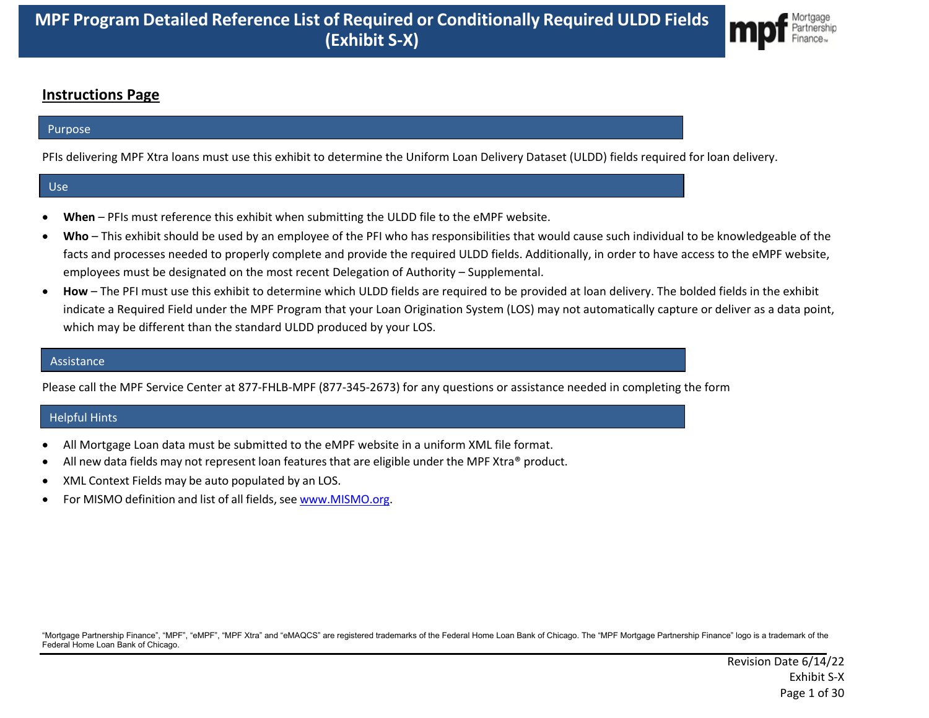

#### **Instructions Page**

#### Purpose

PFIs delivering MPF Xtra loans must use this exhibit to determine the Uniform Loan Delivery Dataset (ULDD) fields required for loan delivery.

#### Use

- **When** PFIs must reference this exhibit when submitting the ULDD file to the eMPF website.
- **Who** This exhibit should be used by an employee of the PFI who has responsibilities that would cause such individual to be knowledgeable of the facts and processes needed to properly complete and provide the required ULDD fields. Additionally, in order to have access to the eMPF website, employees must be designated on the most recent Delegation of Authority – Supplemental.
- **How** The PFI must use this exhibit to determine which ULDD fields are required to be provided at loan delivery. The bolded fields in the exhibit indicate a Required Field under the MPF Program that your Loan Origination System (LOS) may not automatically capture or deliver as a data point, which may be different than the standard ULDD produced by your LOS.

#### Assistance

Please call the MPF Service Center at 877-FHLB-MPF (877-345-2673) for any questions or assistance needed in completing the form

#### Helpful Hints

- All Mortgage Loan data must be submitted to the eMPF website in a uniform XML file format.
- All new data fields may not represent loan features that are eligible under the MPF Xtra® product.
- XML Context Fields may be auto populated by an LOS.
- For MISMO definition and list of all fields, see www.MISMO.org.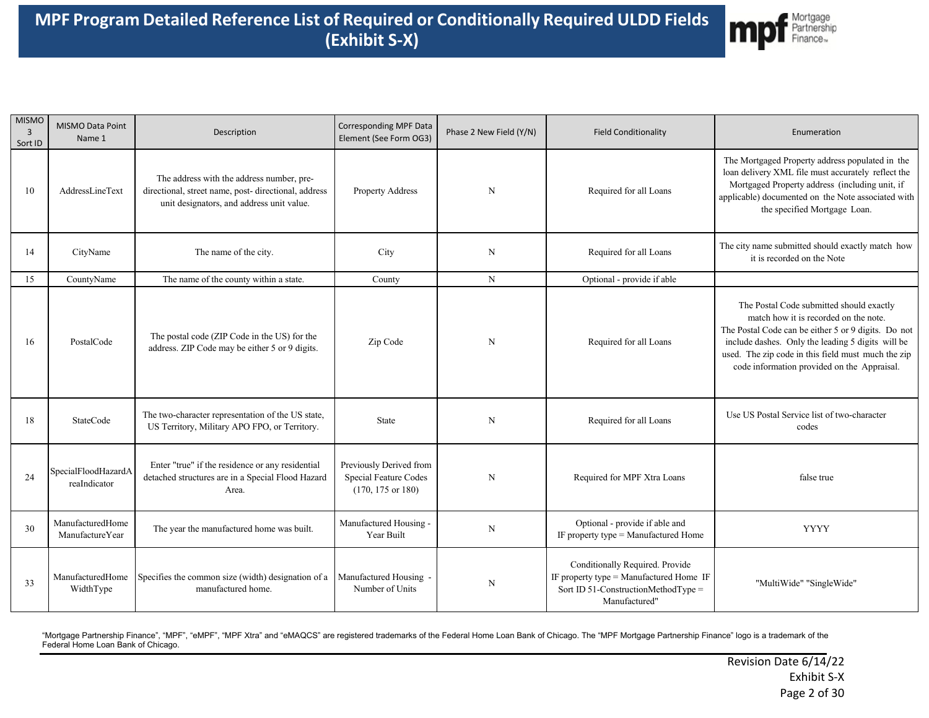

| <b>MISMO</b><br>$\overline{3}$<br>Sort ID | MISMO Data Point<br>Name 1          | Description                                                                                                                                    | <b>Corresponding MPF Data</b><br>Element (See Form OG3)                          | Phase 2 New Field (Y/N) | <b>Field Conditionality</b>                                                                                                        | Enumeration                                                                                                                                                                                                                                                                                        |
|-------------------------------------------|-------------------------------------|------------------------------------------------------------------------------------------------------------------------------------------------|----------------------------------------------------------------------------------|-------------------------|------------------------------------------------------------------------------------------------------------------------------------|----------------------------------------------------------------------------------------------------------------------------------------------------------------------------------------------------------------------------------------------------------------------------------------------------|
| 10                                        | AddressLineText                     | The address with the address number, pre-<br>directional, street name, post- directional, address<br>unit designators, and address unit value. | Property Address                                                                 | $\mathbf N$             | Required for all Loans                                                                                                             | The Mortgaged Property address populated in the<br>loan delivery XML file must accurately reflect the<br>Mortgaged Property address (including unit, if<br>applicable) documented on the Note associated with<br>the specified Mortgage Loan.                                                      |
| 14                                        | CityName                            | The name of the city.                                                                                                                          | City                                                                             | N                       | Required for all Loans                                                                                                             | The city name submitted should exactly match how<br>it is recorded on the Note                                                                                                                                                                                                                     |
| 15                                        | CountyName                          | The name of the county within a state.                                                                                                         | County                                                                           | $\mathbf N$             | Optional - provide if able                                                                                                         |                                                                                                                                                                                                                                                                                                    |
| 16                                        | PostalCode                          | The postal code (ZIP Code in the US) for the<br>address. ZIP Code may be either 5 or 9 digits.                                                 | Zip Code                                                                         | N                       | Required for all Loans                                                                                                             | The Postal Code submitted should exactly<br>match how it is recorded on the note.<br>The Postal Code can be either 5 or 9 digits. Do not<br>include dashes. Only the leading 5 digits will be<br>used. The zip code in this field must much the zip<br>code information provided on the Appraisal. |
| 18                                        | StateCode                           | The two-character representation of the US state,<br>US Territory, Military APO FPO, or Territory.                                             | State                                                                            | N                       | Required for all Loans                                                                                                             | Use US Postal Service list of two-character<br>codes                                                                                                                                                                                                                                               |
| 24                                        | SpecialFloodHazardA<br>reaIndicator | Enter "true" if the residence or any residential<br>detached structures are in a Special Flood Hazard<br>Area.                                 | Previously Derived from<br>Special Feature Codes<br>$(170, 175 \text{ or } 180)$ | $\mathbf N$             | Required for MPF Xtra Loans                                                                                                        | false true                                                                                                                                                                                                                                                                                         |
| 30                                        | ManufacturedHome<br>ManufactureYear | The year the manufactured home was built.                                                                                                      | Manufactured Housing -<br>Year Built                                             | $\mathbf N$             | Optional - provide if able and<br>IF property type $=$ Manufactured Home                                                           | <b>YYYY</b>                                                                                                                                                                                                                                                                                        |
| 33                                        | ManufacturedHome<br>WidthType       | Specifies the common size (width) designation of a<br>manufactured home.                                                                       | Manufactured Housing<br>Number of Units                                          | $\mathbf N$             | Conditionally Required. Provide<br>IF property type = Manufactured Home IF<br>Sort ID 51-ConstructionMethodType =<br>Manufactured" | "MultiWide" "SingleWide"                                                                                                                                                                                                                                                                           |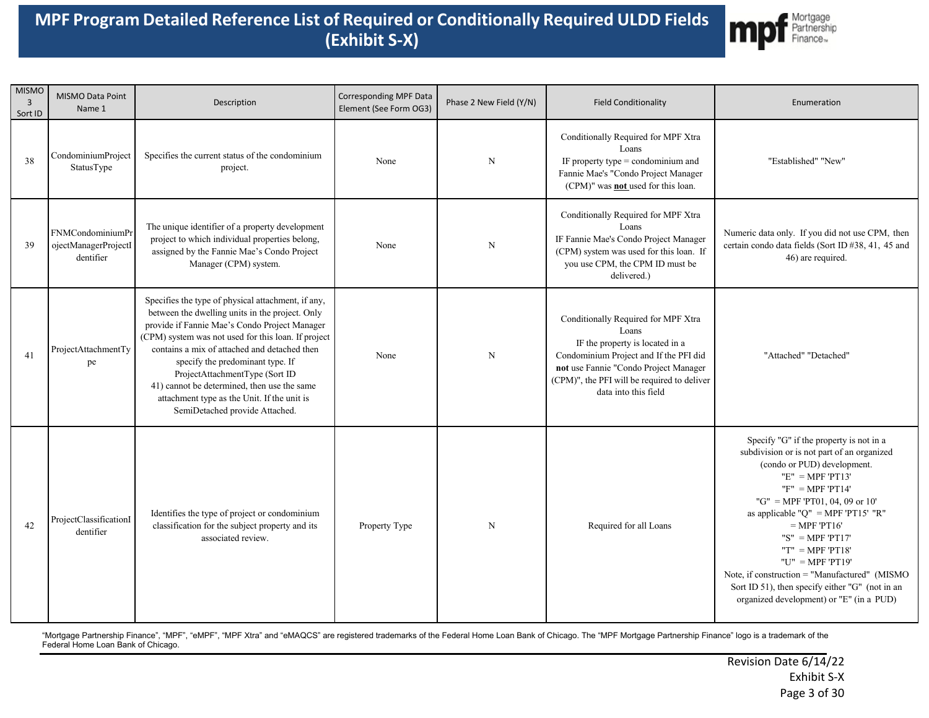

| <b>MISMO</b><br>$\overline{3}$<br>Sort ID | MISMO Data Point<br>Name 1                            | Description                                                                                                                                                                                                                                                                                                                                                                                                                                                         | Corresponding MPF Data<br>Element (See Form OG3) | Phase 2 New Field (Y/N) | <b>Field Conditionality</b>                                                                                                                                                                                                               | Enumeration                                                                                                                                                                                                                                                                                                                                                                                                                                                                    |
|-------------------------------------------|-------------------------------------------------------|---------------------------------------------------------------------------------------------------------------------------------------------------------------------------------------------------------------------------------------------------------------------------------------------------------------------------------------------------------------------------------------------------------------------------------------------------------------------|--------------------------------------------------|-------------------------|-------------------------------------------------------------------------------------------------------------------------------------------------------------------------------------------------------------------------------------------|--------------------------------------------------------------------------------------------------------------------------------------------------------------------------------------------------------------------------------------------------------------------------------------------------------------------------------------------------------------------------------------------------------------------------------------------------------------------------------|
| 38                                        | CondominiumProject<br>StatusType                      | Specifies the current status of the condominium<br>project.                                                                                                                                                                                                                                                                                                                                                                                                         | None                                             | $\mathbf N$             | Conditionally Required for MPF Xtra<br>Loans<br>IF property type $=$ condominium and<br>Fannie Mae's "Condo Project Manager<br>(CPM)" was <b>not</b> used for this loan.                                                                  | "Established" "New"                                                                                                                                                                                                                                                                                                                                                                                                                                                            |
| 39                                        | FNMCondominiumPr<br>ojectManagerProjectI<br>dentifier | The unique identifier of a property development<br>project to which individual properties belong,<br>assigned by the Fannie Mae's Condo Project<br>Manager (CPM) system.                                                                                                                                                                                                                                                                                            | None                                             | N                       | Conditionally Required for MPF Xtra<br>Loans<br>IF Fannie Mae's Condo Project Manager<br>(CPM) system was used for this loan. If<br>you use CPM, the CPM ID must be<br>delivered.)                                                        | Numeric data only. If you did not use CPM, then<br>certain condo data fields (Sort ID #38, 41, 45 and<br>46) are required.                                                                                                                                                                                                                                                                                                                                                     |
| 41                                        | ProjectAttachmentTy<br>pe                             | Specifies the type of physical attachment, if any,<br>between the dwelling units in the project. Only<br>provide if Fannie Mae's Condo Project Manager<br>(CPM) system was not used for this loan. If project<br>contains a mix of attached and detached then<br>specify the predominant type. If<br>ProjectAttachmentType (Sort ID<br>41) cannot be determined, then use the same<br>attachment type as the Unit. If the unit is<br>SemiDetached provide Attached. | None                                             | N                       | Conditionally Required for MPF Xtra<br>Loans<br>IF the property is located in a<br>Condominium Project and If the PFI did<br>not use Fannie "Condo Project Manager<br>(CPM)", the PFI will be required to deliver<br>data into this field | "Attached" "Detached"                                                                                                                                                                                                                                                                                                                                                                                                                                                          |
| 42                                        | ProjectClassificationI<br>dentifier                   | Identifies the type of project or condominium<br>classification for the subject property and its<br>associated review.                                                                                                                                                                                                                                                                                                                                              | Property Type                                    | $\mathbf N$             | Required for all Loans                                                                                                                                                                                                                    | Specify "G" if the property is not in a<br>subdivision or is not part of an organized<br>(condo or PUD) development.<br>$"E" = MPF'PT13"$<br>$"F" = MPF'PT14"$<br>"G" = MPF 'PT01, 04, 09 or 10'<br>as applicable " $Q$ " = MPF 'PT15' "R"<br>$=$ MPF 'PT16'<br>"S" = MPF 'PT17'<br>"T" = $MPF$ 'PT18'<br>" $U$ " = MPF 'PT19'<br>Note, if construction = "Manufactured" (MISMO<br>Sort ID 51), then specify either "G" (not in an<br>organized development) or "E" (in a PUD) |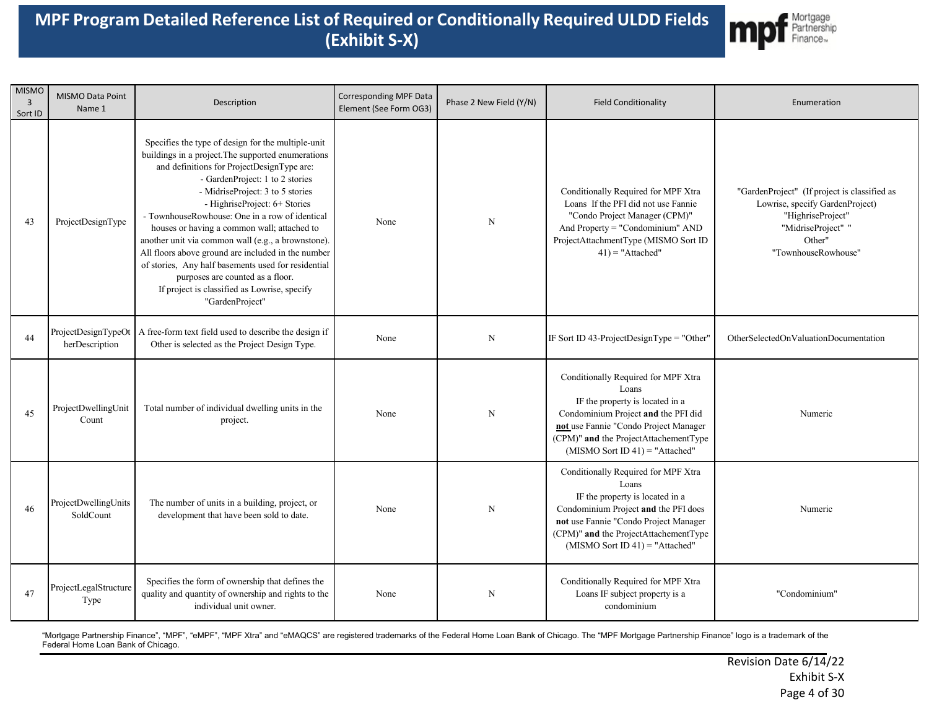

| <b>MISMO</b><br>$\overline{3}$<br>Sort ID | MISMO Data Point<br>Name 1        | Description                                                                                                                                                                                                                                                                                                                                                                                                                                                                                                                                                                                                                               | <b>Corresponding MPF Data</b><br>Element (See Form OG3) | Phase 2 New Field (Y/N) | <b>Field Conditionality</b>                                                                                                                                                                                                                    | Enumeration                                                                                                                                                 |
|-------------------------------------------|-----------------------------------|-------------------------------------------------------------------------------------------------------------------------------------------------------------------------------------------------------------------------------------------------------------------------------------------------------------------------------------------------------------------------------------------------------------------------------------------------------------------------------------------------------------------------------------------------------------------------------------------------------------------------------------------|---------------------------------------------------------|-------------------------|------------------------------------------------------------------------------------------------------------------------------------------------------------------------------------------------------------------------------------------------|-------------------------------------------------------------------------------------------------------------------------------------------------------------|
| 43                                        | ProjectDesignType                 | Specifies the type of design for the multiple-unit<br>buildings in a project. The supported enumerations<br>and definitions for ProjectDesignType are:<br>- GardenProject: 1 to 2 stories<br>- MidriseProject: 3 to 5 stories<br>- HighriseProject: 6+ Stories<br>- TownhouseRowhouse: One in a row of identical<br>houses or having a common wall; attached to<br>another unit via common wall (e.g., a brownstone).<br>All floors above ground are included in the number<br>of stories, Any half basements used for residential<br>purposes are counted as a floor.<br>If project is classified as Lowrise, specify<br>"GardenProject" | None                                                    | N                       | Conditionally Required for MPF Xtra<br>Loans If the PFI did not use Fannie<br>"Condo Project Manager (CPM)"<br>And Property = "Condominium" AND<br>ProjectAttachmentType (MISMO Sort ID<br>$41$ ) = "Attached"                                 | "GardenProject" (If project is classified as<br>Lowrise, specify GardenProject)<br>"HighriseProject"<br>"MidriseProject" "<br>Other"<br>"TownhouseRowhouse" |
| 44                                        | herDescription                    | ProjectDesignTypeOt   A free-form text field used to describe the design if<br>Other is selected as the Project Design Type.                                                                                                                                                                                                                                                                                                                                                                                                                                                                                                              | None                                                    | N                       | IF Sort ID 43-ProjectDesignType = "Other"                                                                                                                                                                                                      | OtherSelectedOnValuationDocumentation                                                                                                                       |
| 45                                        | ProjectDwellingUnit<br>Count      | Total number of individual dwelling units in the<br>project.                                                                                                                                                                                                                                                                                                                                                                                                                                                                                                                                                                              | None                                                    | $\mathbf N$             | Conditionally Required for MPF Xtra<br>Loans<br>IF the property is located in a<br>Condominium Project and the PFI did<br>not use Fannie "Condo Project Manager<br>(CPM)" and the ProjectAttachementType<br>$(MISMO Sort ID 41) = "Attached"$  | Numeric                                                                                                                                                     |
| 46                                        | ProjectDwellingUnits<br>SoldCount | The number of units in a building, project, or<br>development that have been sold to date.                                                                                                                                                                                                                                                                                                                                                                                                                                                                                                                                                | None                                                    | $\mathbf N$             | Conditionally Required for MPF Xtra<br>Loans<br>IF the property is located in a<br>Condominium Project and the PFI does<br>not use Fannie "Condo Project Manager<br>(CPM)" and the ProjectAttachementType<br>$(MISMO Sort ID 41) = "Attached"$ | Numeric                                                                                                                                                     |
| 47                                        | ProjectLegalStructure<br>Type     | Specifies the form of ownership that defines the<br>quality and quantity of ownership and rights to the<br>individual unit owner.                                                                                                                                                                                                                                                                                                                                                                                                                                                                                                         | None                                                    | $\mathbf N$             | Conditionally Required for MPF Xtra<br>Loans IF subject property is a<br>condominium                                                                                                                                                           | "Condominium"                                                                                                                                               |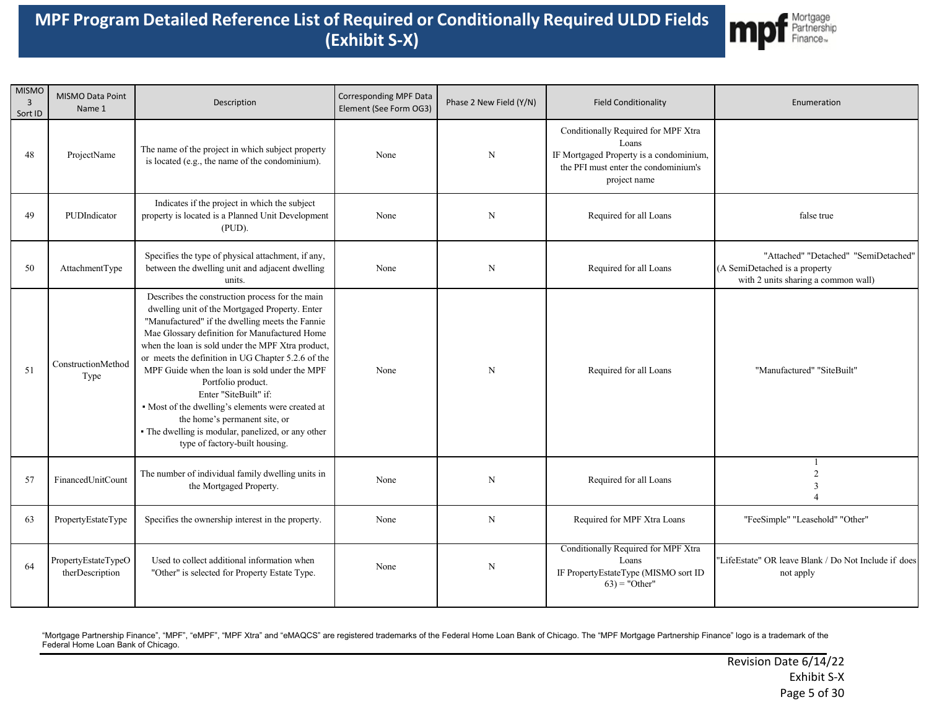

| <b>MISMO</b><br>$\overline{3}$<br>Sort ID | MISMO Data Point<br>Name 1             | Description                                                                                                                                                                                                                                                                                                                                                                                                                                                                                                                                                                                    | Corresponding MPF Data<br>Element (See Form OG3) | Phase 2 New Field (Y/N) | <b>Field Conditionality</b>                                                                                                                     | Enumeration                                                                                                  |
|-------------------------------------------|----------------------------------------|------------------------------------------------------------------------------------------------------------------------------------------------------------------------------------------------------------------------------------------------------------------------------------------------------------------------------------------------------------------------------------------------------------------------------------------------------------------------------------------------------------------------------------------------------------------------------------------------|--------------------------------------------------|-------------------------|-------------------------------------------------------------------------------------------------------------------------------------------------|--------------------------------------------------------------------------------------------------------------|
| 48                                        | ProjectName                            | The name of the project in which subject property<br>is located (e.g., the name of the condominium).                                                                                                                                                                                                                                                                                                                                                                                                                                                                                           | None                                             | $\mathbf N$             | Conditionally Required for MPF Xtra<br>Loans<br>IF Mortgaged Property is a condominium,<br>the PFI must enter the condominium's<br>project name |                                                                                                              |
| 49                                        | PUDIndicator                           | Indicates if the project in which the subject<br>property is located is a Planned Unit Development<br>(PID).                                                                                                                                                                                                                                                                                                                                                                                                                                                                                   | None                                             | $\mathbf N$             | Required for all Loans                                                                                                                          | false true                                                                                                   |
| 50                                        | AttachmentType                         | Specifies the type of physical attachment, if any,<br>between the dwelling unit and adjacent dwelling<br>units.                                                                                                                                                                                                                                                                                                                                                                                                                                                                                | None                                             | N                       | Required for all Loans                                                                                                                          | "Attached" "Detached" "SemiDetached"<br>(A SemiDetached is a property<br>with 2 units sharing a common wall) |
| 51                                        | ConstructionMethod<br>Type             | Describes the construction process for the main<br>dwelling unit of the Mortgaged Property. Enter<br>"Manufactured" if the dwelling meets the Fannie<br>Mae Glossary definition for Manufactured Home<br>when the loan is sold under the MPF Xtra product,<br>or meets the definition in UG Chapter 5.2.6 of the<br>MPF Guide when the loan is sold under the MPF<br>Portfolio product.<br>Enter "SiteBuilt" if:<br>• Most of the dwelling's elements were created at<br>the home's permanent site, or<br>· The dwelling is modular, panelized, or any other<br>type of factory-built housing. | None                                             | N                       | Required for all Loans                                                                                                                          | "Manufactured" "SiteBuilt"                                                                                   |
| 57                                        | FinancedUnitCount                      | The number of individual family dwelling units in<br>the Mortgaged Property.                                                                                                                                                                                                                                                                                                                                                                                                                                                                                                                   | None                                             | N                       | Required for all Loans                                                                                                                          | -1<br>3                                                                                                      |
| 63                                        | PropertyEstateType                     | Specifies the ownership interest in the property.                                                                                                                                                                                                                                                                                                                                                                                                                                                                                                                                              | None                                             | N                       | Required for MPF Xtra Loans                                                                                                                     | "FeeSimple" "Leasehold" "Other"                                                                              |
| 64                                        | PropertyEstateTypeO<br>therDescription | Used to collect additional information when<br>"Other" is selected for Property Estate Type.                                                                                                                                                                                                                                                                                                                                                                                                                                                                                                   | None                                             | N                       | Conditionally Required for MPF Xtra<br>Loans<br>IF PropertyEstateType (MISMO sort ID<br>$(63)$ = "Other"                                        | "LifeEstate" OR leave Blank / Do Not Include if does<br>not apply                                            |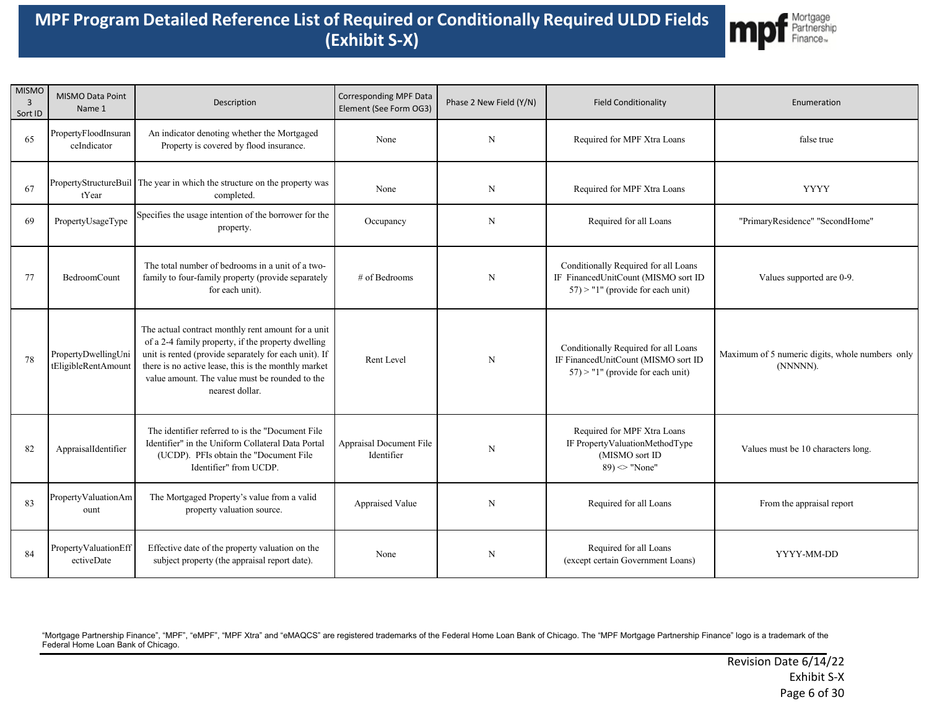

| <b>MISMO</b><br>3<br>Sort ID | MISMO Data Point<br>Name 1                 | Description                                                                                                                                                                                                                                                                                    | Corresponding MPF Data<br>Element (See Form OG3) | Phase 2 New Field (Y/N) | <b>Field Conditionality</b>                                                                                         | Enumeration                                                 |
|------------------------------|--------------------------------------------|------------------------------------------------------------------------------------------------------------------------------------------------------------------------------------------------------------------------------------------------------------------------------------------------|--------------------------------------------------|-------------------------|---------------------------------------------------------------------------------------------------------------------|-------------------------------------------------------------|
| 65                           | PropertyFloodInsuran<br>ceIndicator        | An indicator denoting whether the Mortgaged<br>Property is covered by flood insurance.                                                                                                                                                                                                         | None                                             | $\mathbf N$             | Required for MPF Xtra Loans                                                                                         | false true                                                  |
| 67                           | tYear                                      | PropertyStructureBuil The year in which the structure on the property was<br>completed.                                                                                                                                                                                                        | None                                             | N                       | Required for MPF Xtra Loans                                                                                         | <b>YYYY</b>                                                 |
| 69                           | PropertyUsageType                          | Specifies the usage intention of the borrower for the<br>property.                                                                                                                                                                                                                             | Occupancy                                        | $\mathbf N$             | Required for all Loans                                                                                              | "PrimaryResidence" "SecondHome"                             |
| 77                           | BedroomCount                               | The total number of bedrooms in a unit of a two-<br>family to four-family property (provide separately<br>for each unit).                                                                                                                                                                      | # of Bedrooms                                    | N                       | Conditionally Required for all Loans<br>IF FinancedUnitCount (MISMO sort ID<br>$57$ ) > "1" (provide for each unit) | Values supported are 0-9.                                   |
| 78                           | PropertyDwellingUni<br>tEligibleRentAmount | The actual contract monthly rent amount for a unit<br>of a 2-4 family property, if the property dwelling<br>unit is rented (provide separately for each unit). If<br>there is no active lease, this is the monthly market<br>value amount. The value must be rounded to the<br>nearest dollar. | Rent Level                                       | $\mathbf N$             | Conditionally Required for all Loans<br>IF FinancedUnitCount (MISMO sort ID<br>$57$ ) > "1" (provide for each unit) | Maximum of 5 numeric digits, whole numbers only<br>(NNNNN). |
| 82                           | AppraisalIdentifier                        | The identifier referred to is the "Document File<br>Identifier" in the Uniform Collateral Data Portal<br>(UCDP). PFIs obtain the "Document File<br>Identifier" from UCDP.                                                                                                                      | Appraisal Document File<br>Identifier            | $\mathbf N$             | Required for MPF Xtra Loans<br>IF PropertyValuationMethodType<br>(MISMO sort ID<br>$89$ ) $\sim$ "None"             | Values must be 10 characters long.                          |
| 83                           | PropertyValuationAm<br>ount                | The Mortgaged Property's value from a valid<br>property valuation source.                                                                                                                                                                                                                      | Appraised Value                                  | N                       | Required for all Loans                                                                                              | From the appraisal report                                   |
| 84                           | PropertyValuationEff<br>ectiveDate         | Effective date of the property valuation on the<br>subject property (the appraisal report date).                                                                                                                                                                                               | None                                             | N                       | Required for all Loans<br>(except certain Government Loans)                                                         | YYYY-MM-DD                                                  |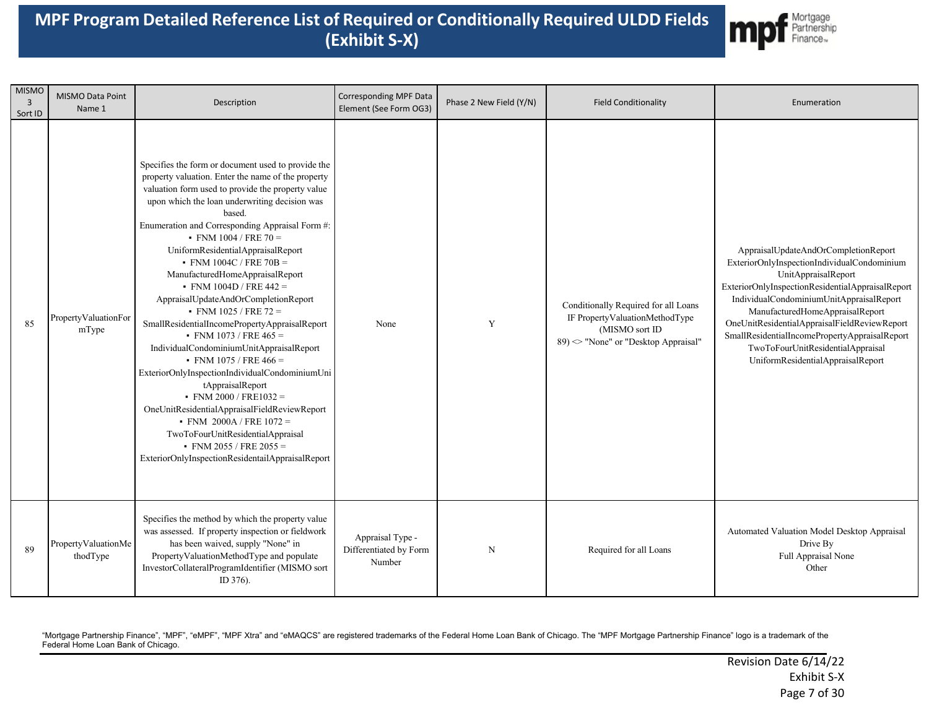

| <b>MISMO</b><br>$\overline{3}$<br>Sort ID | MISMO Data Point<br>Name 1      | Description                                                                                                                                                                                                                                                                                                                                                                                                                                                                                                                                                                                                                                                                                                                                                                                                                                                                                                                                                                | <b>Corresponding MPF Data</b><br>Element (See Form OG3) | Phase 2 New Field (Y/N) | <b>Field Conditionality</b>                                                                                                      | Enumeration                                                                                                                                                                                                                                                                                                                                                                                                              |
|-------------------------------------------|---------------------------------|----------------------------------------------------------------------------------------------------------------------------------------------------------------------------------------------------------------------------------------------------------------------------------------------------------------------------------------------------------------------------------------------------------------------------------------------------------------------------------------------------------------------------------------------------------------------------------------------------------------------------------------------------------------------------------------------------------------------------------------------------------------------------------------------------------------------------------------------------------------------------------------------------------------------------------------------------------------------------|---------------------------------------------------------|-------------------------|----------------------------------------------------------------------------------------------------------------------------------|--------------------------------------------------------------------------------------------------------------------------------------------------------------------------------------------------------------------------------------------------------------------------------------------------------------------------------------------------------------------------------------------------------------------------|
| 85                                        | PropertyValuationFor<br>mType   | Specifies the form or document used to provide the<br>property valuation. Enter the name of the property<br>valuation form used to provide the property value<br>upon which the loan underwriting decision was<br>based.<br>Enumeration and Corresponding Appraisal Form #:<br>$\cdot$ FNM 1004 / FRE 70 =<br>UniformResidentialAppraisalReport<br>• FNM 1004C / FRE 70B =<br>ManufacturedHomeAppraisalReport<br>• FNM $1004D / FRE 442 =$<br>AppraisalUpdateAndOrCompletionReport<br>$\cdot$ FNM 1025 / FRE 72 =<br>SmallResidentialIncomePropertyAppraisalReport<br>• FNM 1073 / FRE $465 =$<br>IndividualCondominiumUnitAppraisalReport<br>• FNM 1075 / FRE 466 =<br>ExteriorOnlyInspectionIndividualCondominiumUni<br>tAppraisalReport<br>$\cdot$ FNM 2000 / FRE1032 =<br>OneUnitResidentialAppraisalFieldReviewReport<br>• FNM 2000A/FRE $1072 =$<br>TwoToFourUnitResidentialAppraisal<br>• FNM 2055 / FRE 2055 =<br>ExteriorOnlyInspectionResidentailAppraisalReport | None                                                    | Y                       | Conditionally Required for all Loans<br>IF PropertyValuationMethodType<br>(MISMO sort ID<br>89) <> "None" or "Desktop Appraisal" | AppraisalUpdateAndOrCompletionReport<br>ExteriorOnlyInspectionIndividualCondominium<br>UnitAppraisalReport<br>ExteriorOnlyInspectionResidentialAppraisalReport<br>IndividualCondominiumUnitAppraisalReport<br>ManufacturedHomeAppraisalReport<br>OneUnitResidentialAppraisalFieldReviewReport<br>SmallResidentialIncomePropertyAppraisalReport<br>TwoToFourUnitResidentialAppraisal<br>UniformResidentialAppraisalReport |
| 89                                        | PropertyValuationMe<br>thodType | Specifies the method by which the property value<br>was assessed. If property inspection or fieldwork<br>has been waived, supply "None" in<br>PropertyValuationMethodType and populate<br>InvestorCollateralProgramIdentifier (MISMO sort<br>ID 376).                                                                                                                                                                                                                                                                                                                                                                                                                                                                                                                                                                                                                                                                                                                      | Appraisal Type -<br>Differentiated by Form<br>Number    | N                       | Required for all Loans                                                                                                           | Automated Valuation Model Desktop Appraisal<br>Drive By<br>Full Appraisal None<br>Other                                                                                                                                                                                                                                                                                                                                  |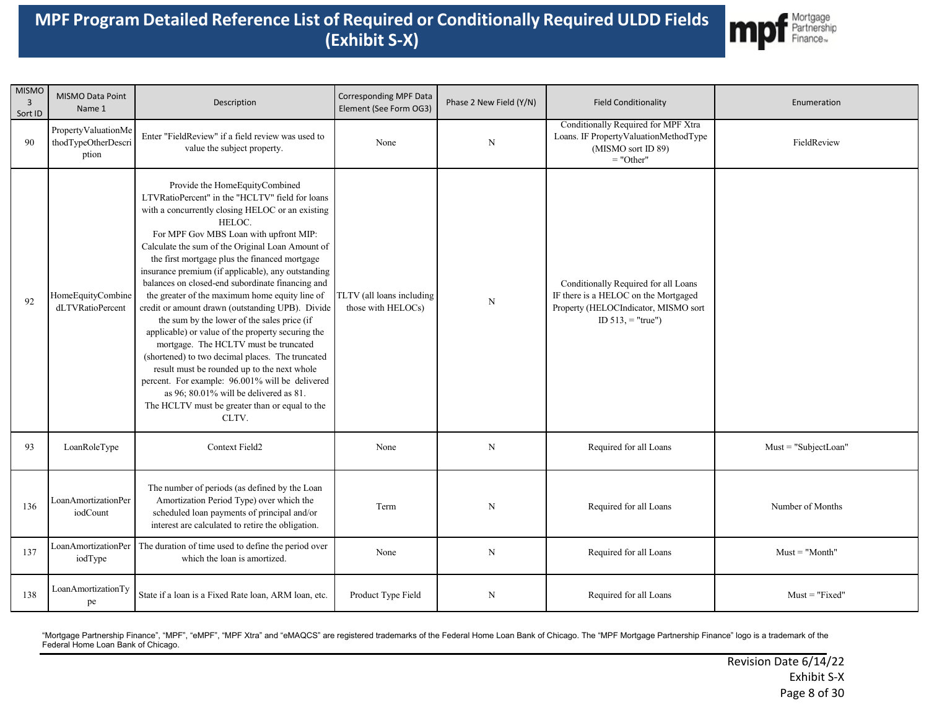

| <b>MISMO</b><br>$\overline{3}$<br>Sort ID | MISMO Data Point<br>Name 1                          | Description                                                                                                                                                                                                                                                                                                                                                                                                                                                                                                                                                                                                                                                                                                                                                                                                                                                                                                            | Corresponding MPF Data<br>Element (See Form OG3) | Phase 2 New Field (Y/N) | <b>Field Conditionality</b>                                                                                                                  | Enumeration             |
|-------------------------------------------|-----------------------------------------------------|------------------------------------------------------------------------------------------------------------------------------------------------------------------------------------------------------------------------------------------------------------------------------------------------------------------------------------------------------------------------------------------------------------------------------------------------------------------------------------------------------------------------------------------------------------------------------------------------------------------------------------------------------------------------------------------------------------------------------------------------------------------------------------------------------------------------------------------------------------------------------------------------------------------------|--------------------------------------------------|-------------------------|----------------------------------------------------------------------------------------------------------------------------------------------|-------------------------|
| 90                                        | PropertyValuationMe<br>thodTypeOtherDescri<br>ption | Enter "FieldReview" if a field review was used to<br>value the subject property.                                                                                                                                                                                                                                                                                                                                                                                                                                                                                                                                                                                                                                                                                                                                                                                                                                       | None                                             | $\mathbf N$             | Conditionally Required for MPF Xtra<br>Loans. IF PropertyValuationMethodType<br>(MISMO sort ID 89)<br>$=$ "Other"                            | FieldReview             |
| 92                                        | HomeEquityCombine<br>dLTVRatioPercent               | Provide the HomeEquityCombined<br>LTVRatioPercent" in the "HCLTV" field for loans<br>with a concurrently closing HELOC or an existing<br>HELOC.<br>For MPF Gov MBS Loan with upfront MIP:<br>Calculate the sum of the Original Loan Amount of<br>the first mortgage plus the financed mortgage<br>insurance premium (if applicable), any outstanding<br>balances on closed-end subordinate financing and<br>the greater of the maximum home equity line of<br>credit or amount drawn (outstanding UPB). Divide<br>the sum by the lower of the sales price (if<br>applicable) or value of the property securing the<br>mortgage. The HCLTV must be truncated<br>(shortened) to two decimal places. The truncated<br>result must be rounded up to the next whole<br>percent. For example: 96.001% will be delivered<br>as 96; 80.01% will be delivered as 81.<br>The HCLTV must be greater than or equal to the<br>CLTV. | TLTV (all loans including<br>those with HELOCs)  | ${\bf N}$               | Conditionally Required for all Loans<br>IF there is a HELOC on the Mortgaged<br>Property (HELOCIndicator, MISMO sort<br>ID $513$ , = "true") |                         |
| 93                                        | LoanRoleType                                        | Context Field2                                                                                                                                                                                                                                                                                                                                                                                                                                                                                                                                                                                                                                                                                                                                                                                                                                                                                                         | None                                             | $\mathbf N$             | Required for all Loans                                                                                                                       | $Must = "Subject Loan"$ |
| 136                                       | LoanAmortizationPer<br>iodCount                     | The number of periods (as defined by the Loan<br>Amortization Period Type) over which the<br>scheduled loan payments of principal and/or<br>interest are calculated to retire the obligation.                                                                                                                                                                                                                                                                                                                                                                                                                                                                                                                                                                                                                                                                                                                          | Term                                             | $\mathbf N$             | Required for all Loans                                                                                                                       | Number of Months        |
| 137                                       | LoanAmortizationPer<br>iodType                      | The duration of time used to define the period over<br>which the loan is amortized.                                                                                                                                                                                                                                                                                                                                                                                                                                                                                                                                                                                                                                                                                                                                                                                                                                    | None                                             | $\mathbf N$             | Required for all Loans                                                                                                                       | $Must = "Month"$        |
| 138                                       | LoanAmortizationTy<br>pe                            | State if a loan is a Fixed Rate loan, ARM loan, etc.                                                                                                                                                                                                                                                                                                                                                                                                                                                                                                                                                                                                                                                                                                                                                                                                                                                                   | Product Type Field                               | $\mathbf N$             | Required for all Loans                                                                                                                       | $Must = "Fixed"$        |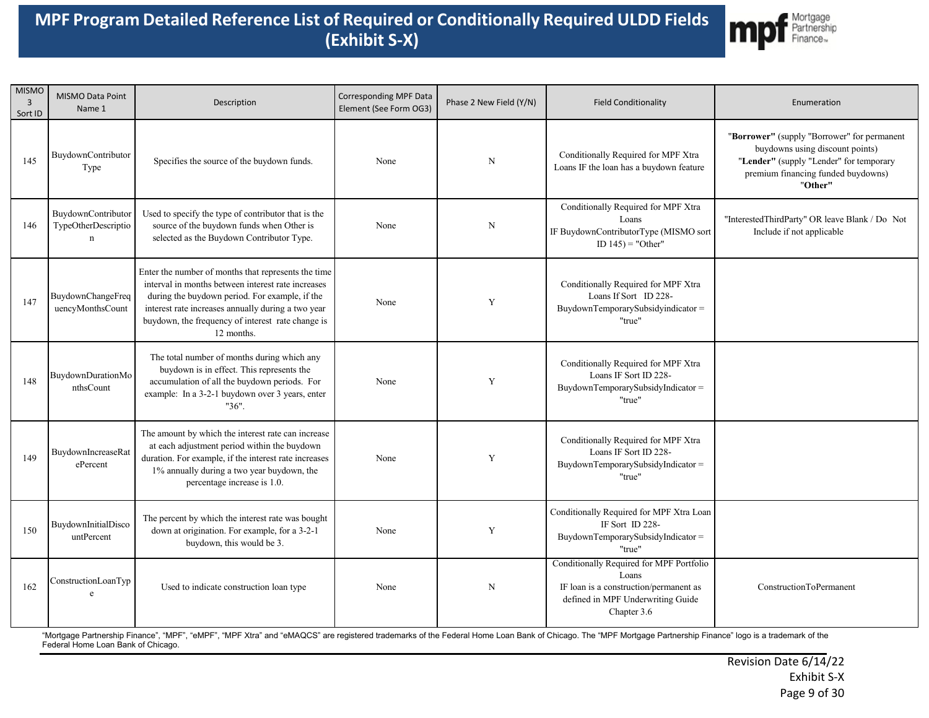

| <b>MISMO</b><br>3<br>Sort ID | MISMO Data Point<br>Name 1                               | Description                                                                                                                                                                                                                                                                          | Corresponding MPF Data<br>Element (See Form OG3) | Phase 2 New Field (Y/N) | <b>Field Conditionality</b>                                                                                                                     | Enumeration                                                                                                                                                                |
|------------------------------|----------------------------------------------------------|--------------------------------------------------------------------------------------------------------------------------------------------------------------------------------------------------------------------------------------------------------------------------------------|--------------------------------------------------|-------------------------|-------------------------------------------------------------------------------------------------------------------------------------------------|----------------------------------------------------------------------------------------------------------------------------------------------------------------------------|
| 145                          | BuydownContributor<br>Type                               | Specifies the source of the buydown funds.                                                                                                                                                                                                                                           | None                                             | $_{\rm N}$              | Conditionally Required for MPF Xtra<br>Loans IF the loan has a buydown feature                                                                  | "Borrower" (supply "Borrower" for permanent<br>buydowns using discount points)<br>"Lender" (supply "Lender" for temporary<br>premium financing funded buydowns)<br>"Other" |
| 146                          | BuydownContributor<br>TypeOtherDescriptio<br>$\mathbf n$ | Used to specify the type of contributor that is the<br>source of the buydown funds when Other is<br>selected as the Buydown Contributor Type.                                                                                                                                        | None                                             | N                       | Conditionally Required for MPF Xtra<br>Loans<br>IF BuydownContributorType (MISMO sort<br>ID $145$ ) = "Other"                                   | "InterestedThirdParty" OR leave Blank / Do Not<br>Include if not applicable                                                                                                |
| 147                          | BuydownChangeFreq<br>uencyMonthsCount                    | Enter the number of months that represents the time<br>interval in months between interest rate increases<br>during the buydown period. For example, if the<br>interest rate increases annually during a two year<br>buydown, the frequency of interest rate change is<br>12 months. | None                                             | Y                       | Conditionally Required for MPF Xtra<br>Loans If Sort ID 228-<br>BuydownTemporarySubsidyindicator =<br>"true"                                    |                                                                                                                                                                            |
| 148                          | BuydownDurationMo<br>nthsCount                           | The total number of months during which any<br>buydown is in effect. This represents the<br>accumulation of all the buydown periods. For<br>example: In a 3-2-1 buydown over 3 years, enter<br>"36".                                                                                 | None                                             | Y                       | Conditionally Required for MPF Xtra<br>Loans IF Sort ID 228-<br>BuydownTemporarySubsidyIndicator =<br>"true"                                    |                                                                                                                                                                            |
| 149                          | BuvdownIncreaseRat<br>ePercent                           | The amount by which the interest rate can increase<br>at each adjustment period within the buydown<br>duration. For example, if the interest rate increases<br>1% annually during a two year buydown, the<br>percentage increase is 1.0.                                             | None                                             | Y                       | Conditionally Required for MPF Xtra<br>Loans IF Sort ID 228-<br>BuydownTemporarySubsidyIndicator=<br>"true"                                     |                                                                                                                                                                            |
| 150                          | BuydownInitialDisco<br>untPercent                        | The percent by which the interest rate was bought<br>down at origination. For example, for a 3-2-1<br>buydown, this would be 3.                                                                                                                                                      | None                                             | Y                       | Conditionally Required for MPF Xtra Loan<br>IF Sort ID 228-<br>BuydownTemporarySubsidyIndicator =<br>"true"                                     |                                                                                                                                                                            |
| 162                          | ConstructionLoanTyp<br>e                                 | Used to indicate construction loan type                                                                                                                                                                                                                                              | None                                             | $\mathbf N$             | Conditionally Required for MPF Portfolio<br>Loans<br>IF loan is a construction/permanent as<br>defined in MPF Underwriting Guide<br>Chapter 3.6 | ConstructionToPermanent                                                                                                                                                    |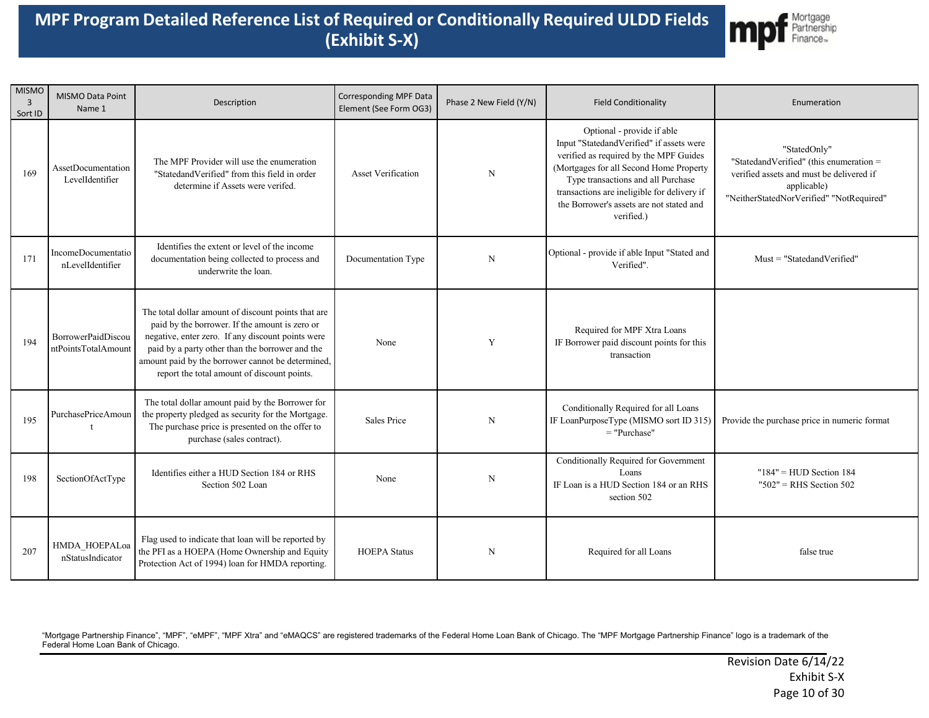

| <b>MISMO</b><br>$\overline{3}$<br>Sort ID | MISMO Data Point<br>Name 1                | Description                                                                                                                                                                                                                                                                                                       | Corresponding MPF Data<br>Element (See Form OG3) | Phase 2 New Field (Y/N) | <b>Field Conditionality</b>                                                                                                                                                                                                                                                                                | Enumeration                                                                                                                                                    |
|-------------------------------------------|-------------------------------------------|-------------------------------------------------------------------------------------------------------------------------------------------------------------------------------------------------------------------------------------------------------------------------------------------------------------------|--------------------------------------------------|-------------------------|------------------------------------------------------------------------------------------------------------------------------------------------------------------------------------------------------------------------------------------------------------------------------------------------------------|----------------------------------------------------------------------------------------------------------------------------------------------------------------|
| 169                                       | AssetDocumentation<br>LevelIdentifier     | The MPF Provider will use the enumeration<br>"StatedandVerified" from this field in order<br>determine if Assets were verifed.                                                                                                                                                                                    | <b>Asset Verification</b>                        | $\mathbf N$             | Optional - provide if able<br>Input "StatedandVerified" if assets were<br>verified as required by the MPF Guides<br>(Mortgages for all Second Home Property<br>Type transactions and all Purchase<br>transactions are ineligible for delivery if<br>the Borrower's assets are not stated and<br>verified.) | "StatedOnly"<br>"StatedandVerified" (this enumeration =<br>verified assets and must be delivered if<br>applicable)<br>"NeitherStatedNorVerified" "NotRequired" |
| 171                                       | IncomeDocumentatio<br>nLevelIdentifier    | Identifies the extent or level of the income<br>documentation being collected to process and<br>underwrite the loan.                                                                                                                                                                                              | Documentation Type                               | $\mathbf N$             | Optional - provide if able Input "Stated and<br>Verified".                                                                                                                                                                                                                                                 | $Must = "StatedandVerified"$                                                                                                                                   |
| 194                                       | BorrowerPaidDiscou<br>ntPointsTotalAmount | The total dollar amount of discount points that are<br>paid by the borrower. If the amount is zero or<br>negative, enter zero. If any discount points were<br>paid by a party other than the borrower and the<br>amount paid by the borrower cannot be determined,<br>report the total amount of discount points. | None                                             | Y                       | Required for MPF Xtra Loans<br>IF Borrower paid discount points for this<br>transaction                                                                                                                                                                                                                    |                                                                                                                                                                |
| 195                                       | PurchasePriceAmoun<br>t                   | The total dollar amount paid by the Borrower for<br>the property pledged as security for the Mortgage.<br>The purchase price is presented on the offer to<br>purchase (sales contract).                                                                                                                           | Sales Price                                      | N                       | Conditionally Required for all Loans<br>IF LoanPurposeType (MISMO sort ID 315)<br>$=$ "Purchase"                                                                                                                                                                                                           | Provide the purchase price in numeric format                                                                                                                   |
| 198                                       | SectionOfActType                          | Identifies either a HUD Section 184 or RHS<br>Section 502 Loan                                                                                                                                                                                                                                                    | None                                             | N                       | Conditionally Required for Government<br>Loans<br>IF Loan is a HUD Section 184 or an RHS<br>section 502                                                                                                                                                                                                    | $"184" = HUD Section 184$<br>$"502"$ = RHS Section 502                                                                                                         |
| 207                                       | HMDA_HOEPALoa<br>nStatusIndicator         | Flag used to indicate that loan will be reported by<br>the PFI as a HOEPA (Home Ownership and Equity<br>Protection Act of 1994) loan for HMDA reporting.                                                                                                                                                          | <b>HOEPA</b> Status                              | N                       | Required for all Loans                                                                                                                                                                                                                                                                                     | false true                                                                                                                                                     |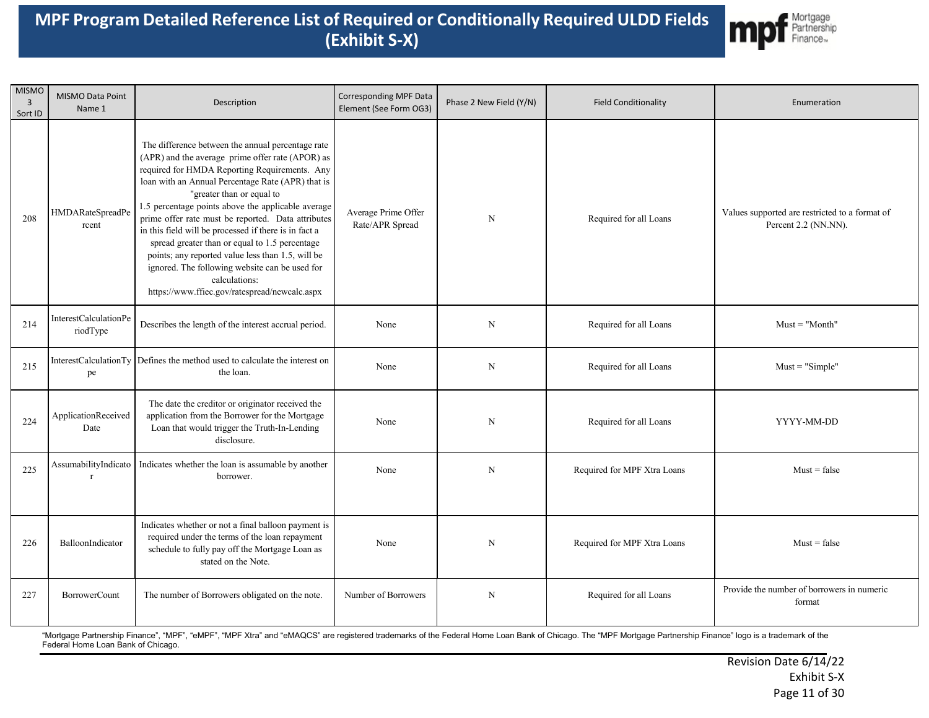

| <b>MISMO</b><br>$\overline{3}$<br>Sort ID | MISMO Data Point<br>Name 1           | Description                                                                                                                                                                                                                                                                                                                                                                                                                                                                                                                                                                                                                              | Corresponding MPF Data<br>Element (See Form OG3) | Phase 2 New Field (Y/N) | <b>Field Conditionality</b> | Enumeration                                                            |
|-------------------------------------------|--------------------------------------|------------------------------------------------------------------------------------------------------------------------------------------------------------------------------------------------------------------------------------------------------------------------------------------------------------------------------------------------------------------------------------------------------------------------------------------------------------------------------------------------------------------------------------------------------------------------------------------------------------------------------------------|--------------------------------------------------|-------------------------|-----------------------------|------------------------------------------------------------------------|
| 208                                       | <b>HMDARateSpreadPe</b><br>rcent     | The difference between the annual percentage rate<br>(APR) and the average prime offer rate (APOR) as<br>required for HMDA Reporting Requirements. Any<br>loan with an Annual Percentage Rate (APR) that is<br>"greater than or equal to<br>1.5 percentage points above the applicable average<br>prime offer rate must be reported. Data attributes<br>in this field will be processed if there is in fact a<br>spread greater than or equal to 1.5 percentage<br>points; any reported value less than 1.5, will be<br>ignored. The following website can be used for<br>calculations:<br>https://www.ffiec.gov/ratespread/newcalc.aspx | Average Prime Offer<br>Rate/APR Spread           | $\mathbf N$             | Required for all Loans      | Values supported are restricted to a format of<br>Percent 2.2 (NN.NN). |
| 214                                       | InterestCalculationPe<br>riodType    | Describes the length of the interest accrual period.                                                                                                                                                                                                                                                                                                                                                                                                                                                                                                                                                                                     | None                                             | N                       | Required for all Loans      | $Must = "Month"$                                                       |
| 215                                       | pe                                   | InterestCalculationTy Defines the method used to calculate the interest on<br>the loan.                                                                                                                                                                                                                                                                                                                                                                                                                                                                                                                                                  | None                                             | $\mathbf N$             | Required for all Loans      | $Must = "Simple"$                                                      |
| 224                                       | ApplicationReceived<br>Date          | The date the creditor or originator received the<br>application from the Borrower for the Mortgage<br>Loan that would trigger the Truth-In-Lending<br>disclosure.                                                                                                                                                                                                                                                                                                                                                                                                                                                                        | None                                             | N                       | Required for all Loans      | YYYY-MM-DD                                                             |
| 225                                       | AssumabilityIndicato<br>$\mathbf{r}$ | Indicates whether the loan is assumable by another<br>borrower.                                                                                                                                                                                                                                                                                                                                                                                                                                                                                                                                                                          | None                                             | $\mathbf N$             | Required for MPF Xtra Loans | $Must = false$                                                         |
| 226                                       | BalloonIndicator                     | Indicates whether or not a final balloon payment is<br>required under the terms of the loan repayment<br>schedule to fully pay off the Mortgage Loan as<br>stated on the Note.                                                                                                                                                                                                                                                                                                                                                                                                                                                           | None                                             | $\mathbf N$             | Required for MPF Xtra Loans | $Must = false$                                                         |
| 227                                       | <b>BorrowerCount</b>                 | The number of Borrowers obligated on the note.                                                                                                                                                                                                                                                                                                                                                                                                                                                                                                                                                                                           | Number of Borrowers                              | N                       | Required for all Loans      | Provide the number of borrowers in numeric<br>format                   |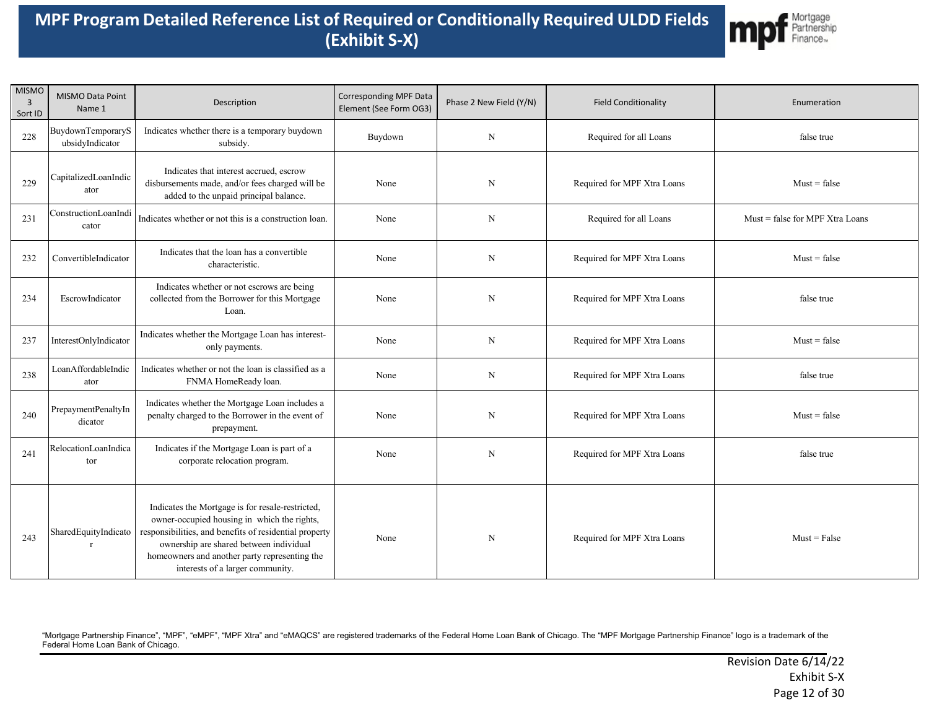

| <b>MISMO</b><br>$\overline{3}$<br>Sort ID | <b>MISMO Data Point</b><br>Name 1    | Description                                                                                                                                                                                                                                                                               | Corresponding MPF Data<br>Element (See Form OG3) | Phase 2 New Field (Y/N) | <b>Field Conditionality</b> | Enumeration                     |
|-------------------------------------------|--------------------------------------|-------------------------------------------------------------------------------------------------------------------------------------------------------------------------------------------------------------------------------------------------------------------------------------------|--------------------------------------------------|-------------------------|-----------------------------|---------------------------------|
| 228                                       | BuydownTemporaryS<br>ubsidyIndicator | Indicates whether there is a temporary buydown<br>subsidy.                                                                                                                                                                                                                                | Buydown                                          | N                       | Required for all Loans      | false true                      |
| 229                                       | CapitalizedLoanIndic<br>ator         | Indicates that interest accrued, escrow<br>disbursements made, and/or fees charged will be<br>added to the unpaid principal balance.                                                                                                                                                      | None                                             | N                       | Required for MPF Xtra Loans | $Must = false$                  |
| 231                                       | ConstructionLoanIndi<br>cator        | Indicates whether or not this is a construction loan.                                                                                                                                                                                                                                     | None                                             | $_{\rm N}$              | Required for all Loans      | Must = false for MPF Xtra Loans |
| 232                                       | ConvertibleIndicator                 | Indicates that the loan has a convertible<br>characteristic.                                                                                                                                                                                                                              | None                                             | $_{\rm N}$              | Required for MPF Xtra Loans | $Must = false$                  |
| 234                                       | EscrowIndicator                      | Indicates whether or not escrows are being<br>collected from the Borrower for this Mortgage<br>Loan.                                                                                                                                                                                      | None                                             | N                       | Required for MPF Xtra Loans | false true                      |
| 237                                       | InterestOnlyIndicator                | Indicates whether the Mortgage Loan has interest-<br>only payments.                                                                                                                                                                                                                       | None                                             | N                       | Required for MPF Xtra Loans | $Must = false$                  |
| 238                                       | LoanAffordableIndic<br>ator          | Indicates whether or not the loan is classified as a<br>FNMA HomeReady loan.                                                                                                                                                                                                              | None                                             | N                       | Required for MPF Xtra Loans | false true                      |
| 240                                       | PrepaymentPenaltyIn<br>dicator       | Indicates whether the Mortgage Loan includes a<br>penalty charged to the Borrower in the event of<br>prepayment.                                                                                                                                                                          | None                                             | N                       | Required for MPF Xtra Loans | $Must = false$                  |
| 241                                       | RelocationLoanIndica<br>tor          | Indicates if the Mortgage Loan is part of a<br>corporate relocation program.                                                                                                                                                                                                              | None                                             | $\mathbf N$             | Required for MPF Xtra Loans | false true                      |
| 243                                       | SharedEquityIndicato<br>$\mathbf{r}$ | Indicates the Mortgage is for resale-restricted,<br>owner-occupied housing in which the rights,<br>responsibilities, and benefits of residential property<br>ownership are shared between individual<br>homeowners and another party representing the<br>interests of a larger community. | None                                             | $\mathbf N$             | Required for MPF Xtra Loans | $Must = False$                  |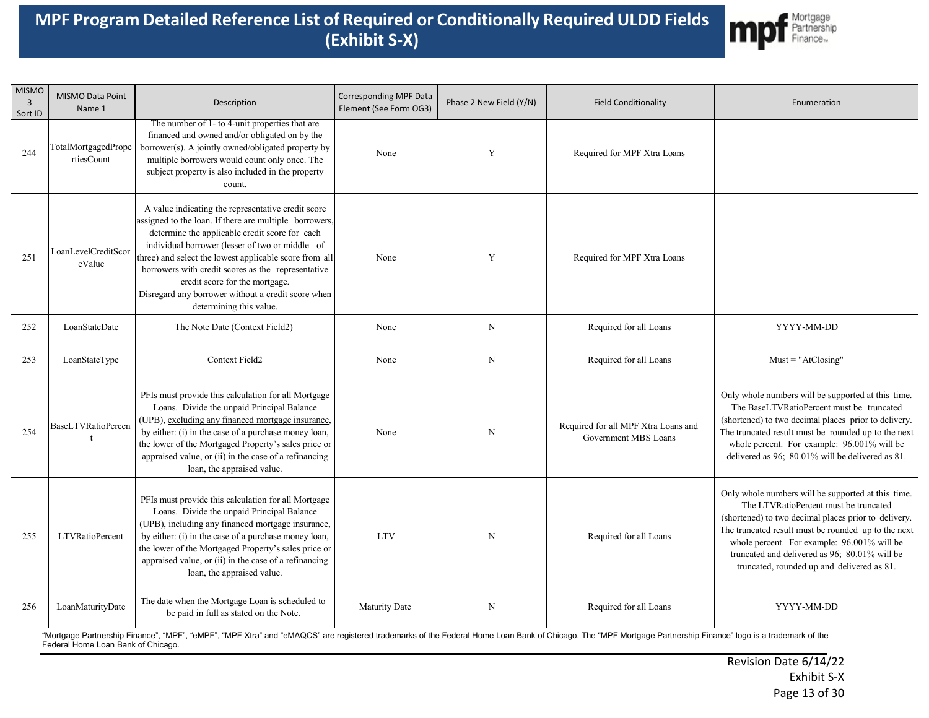

| <b>MISMO</b><br>3<br>Sort ID | MISMO Data Point<br>Name 1        | Description                                                                                                                                                                                                                                                                                                                                                                                                                                          | <b>Corresponding MPF Data</b><br>Element (See Form OG3) | Phase 2 New Field (Y/N) | <b>Field Conditionality</b>                                 | Enumeration                                                                                                                                                                                                                                                                                                                                              |
|------------------------------|-----------------------------------|------------------------------------------------------------------------------------------------------------------------------------------------------------------------------------------------------------------------------------------------------------------------------------------------------------------------------------------------------------------------------------------------------------------------------------------------------|---------------------------------------------------------|-------------------------|-------------------------------------------------------------|----------------------------------------------------------------------------------------------------------------------------------------------------------------------------------------------------------------------------------------------------------------------------------------------------------------------------------------------------------|
| 244                          | TotalMortgagedPrope<br>rtiesCount | The number of 1- to 4-unit properties that are<br>financed and owned and/or obligated on by the<br>borrower(s). A jointly owned/obligated property by<br>multiple borrowers would count only once. The<br>subject property is also included in the property<br>count.                                                                                                                                                                                | None                                                    | Y                       | Required for MPF Xtra Loans                                 |                                                                                                                                                                                                                                                                                                                                                          |
| 251                          | LoanLevelCreditScor<br>eValue     | A value indicating the representative credit score<br>assigned to the loan. If there are multiple borrowers,<br>determine the applicable credit score for each<br>individual borrower (lesser of two or middle of<br>three) and select the lowest applicable score from all<br>borrowers with credit scores as the representative<br>credit score for the mortgage.<br>Disregard any borrower without a credit score when<br>determining this value. | None                                                    | Y                       | Required for MPF Xtra Loans                                 |                                                                                                                                                                                                                                                                                                                                                          |
| 252                          | LoanStateDate                     | The Note Date (Context Field2)                                                                                                                                                                                                                                                                                                                                                                                                                       | None                                                    | N                       | Required for all Loans                                      | YYYY-MM-DD                                                                                                                                                                                                                                                                                                                                               |
| 253                          | LoanStateType                     | Context Field2                                                                                                                                                                                                                                                                                                                                                                                                                                       | None                                                    | $\mathbf N$             | Required for all Loans                                      | $Must = "AtClosing"$                                                                                                                                                                                                                                                                                                                                     |
| 254                          | <b>BaseLTVRatioPercen</b>         | PFIs must provide this calculation for all Mortgage<br>Loans. Divide the unpaid Principal Balance<br>(UPB), excluding any financed mortgage insurance,<br>by either: (i) in the case of a purchase money loan,<br>the lower of the Mortgaged Property's sales price or<br>appraised value, or (ii) in the case of a refinancing<br>loan, the appraised value.                                                                                        | None                                                    | $\mathbf N$             | Required for all MPF Xtra Loans and<br>Government MBS Loans | Only whole numbers will be supported at this time.<br>The BaseLTVRatioPercent must be truncated<br>(shortened) to two decimal places prior to delivery.<br>The truncated result must be rounded up to the next<br>whole percent. For example: 96.001% will be<br>delivered as 96; 80.01% will be delivered as 81.                                        |
| 255                          | <b>LTVRatioPercent</b>            | PFIs must provide this calculation for all Mortgage<br>Loans. Divide the unpaid Principal Balance<br>(UPB), including any financed mortgage insurance,<br>by either: (i) in the case of a purchase money loan,<br>the lower of the Mortgaged Property's sales price or<br>appraised value, or (ii) in the case of a refinancing<br>loan, the appraised value.                                                                                        | <b>LTV</b>                                              | N                       | Required for all Loans                                      | Only whole numbers will be supported at this time.<br>The LTVRatioPercent must be truncated<br>(shortened) to two decimal places prior to delivery.<br>The truncated result must be rounded up to the next<br>whole percent. For example: 96.001% will be<br>truncated and delivered as 96; 80.01% will be<br>truncated, rounded up and delivered as 81. |
| 256                          | LoanMaturityDate                  | The date when the Mortgage Loan is scheduled to<br>be paid in full as stated on the Note.                                                                                                                                                                                                                                                                                                                                                            | Maturity Date                                           | $\mathbf N$             | Required for all Loans                                      | YYYY-MM-DD                                                                                                                                                                                                                                                                                                                                               |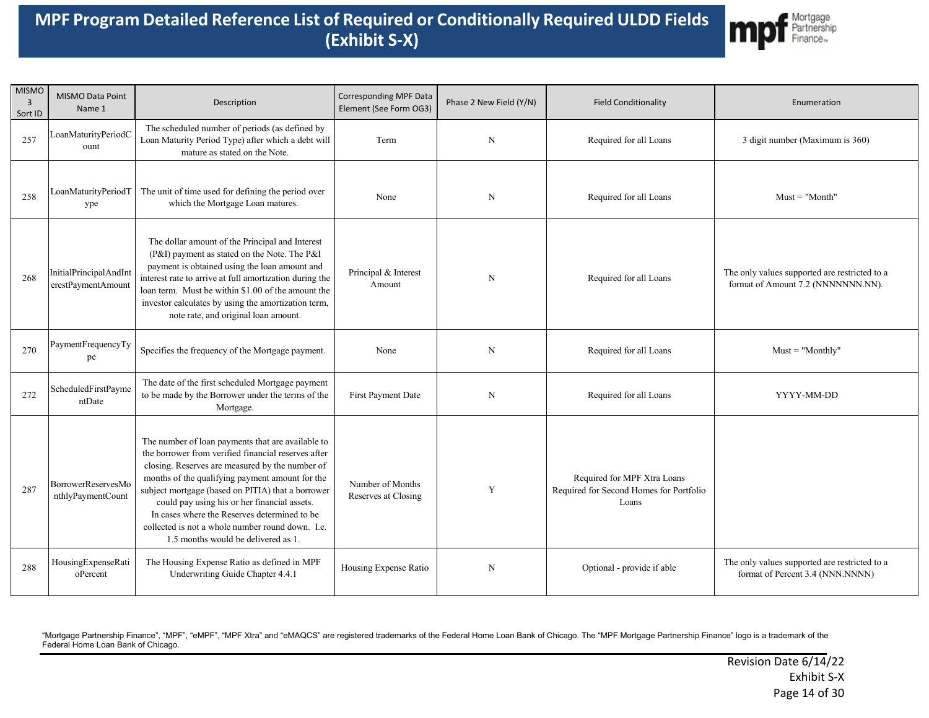

| <b>MISMO</b><br>3<br>Sort ID | MISMO Data Point<br>Name 1                   | Description                                                                                                                                                                                                                                                                                                                                                                                                                                                    | Corresponding MPF Data<br>Element (See Form OG3) | Phase 2 New Field (Y/N) | <b>Field Conditionality</b>                                                     | Enumeration                                                                         |
|------------------------------|----------------------------------------------|----------------------------------------------------------------------------------------------------------------------------------------------------------------------------------------------------------------------------------------------------------------------------------------------------------------------------------------------------------------------------------------------------------------------------------------------------------------|--------------------------------------------------|-------------------------|---------------------------------------------------------------------------------|-------------------------------------------------------------------------------------|
| 257                          | LoanMaturityPeriodC<br>ount                  | The scheduled number of periods (as defined by<br>Loan Maturity Period Type) after which a debt will<br>mature as stated on the Note.                                                                                                                                                                                                                                                                                                                          | Term                                             | N                       | Required for all Loans                                                          | 3 digit number (Maximum is 360)                                                     |
| 258                          | LoanMaturityPeriodT<br>ype                   | The unit of time used for defining the period over<br>which the Mortgage Loan matures.                                                                                                                                                                                                                                                                                                                                                                         | None                                             | N                       | Required for all Loans                                                          | $Must = "Month"$                                                                    |
| 268                          | InitialPrincipalAndInt<br>erestPaymentAmount | The dollar amount of the Principal and Interest<br>(P&I) payment as stated on the Note. The P&I<br>payment is obtained using the loan amount and<br>interest rate to arrive at full amortization during the<br>loan term. Must be within \$1.00 of the amount the<br>investor calculates by using the amortization term,<br>note rate, and original loan amount.                                                                                               | Principal & Interest<br>Amount                   | $\mathbf N$             | Required for all Loans                                                          | The only values supported are restricted to a<br>format of Amount 7.2 (NNNNNNN.NN). |
| 270                          | PaymentFrequencyTy<br>pe                     | Specifies the frequency of the Mortgage payment.                                                                                                                                                                                                                                                                                                                                                                                                               | None                                             | $\mathbf N$             | Required for all Loans                                                          | $Must = "Monthly"$                                                                  |
| 272                          | ScheduledFirstPayme<br>ntDate                | The date of the first scheduled Mortgage payment<br>to be made by the Borrower under the terms of the<br>Mortgage.                                                                                                                                                                                                                                                                                                                                             | First Payment Date                               | N                       | Required for all Loans                                                          | YYYY-MM-DD                                                                          |
| 287                          | BorrowerReservesMo<br>nthlyPaymentCount      | The number of loan payments that are available to<br>the borrower from verified financial reserves after<br>closing. Reserves are measured by the number of<br>months of the qualifying payment amount for the<br>subject mortgage (based on PITIA) that a borrower<br>could pay using his or her financial assets.<br>In cases where the Reserves determined to be<br>collected is not a whole number round down. I.e.<br>1.5 months would be delivered as 1. | Number of Months<br>Reserves at Closing          | Y                       | Required for MPF Xtra Loans<br>Required for Second Homes for Portfolio<br>Loans |                                                                                     |
| 288                          | HousingExpenseRati<br>oPercent               | The Housing Expense Ratio as defined in MPF<br>Underwriting Guide Chapter 4.4.1                                                                                                                                                                                                                                                                                                                                                                                | Housing Expense Ratio                            | N                       | Optional - provide if able                                                      | The only values supported are restricted to a<br>format of Percent 3.4 (NNN.NNNN)   |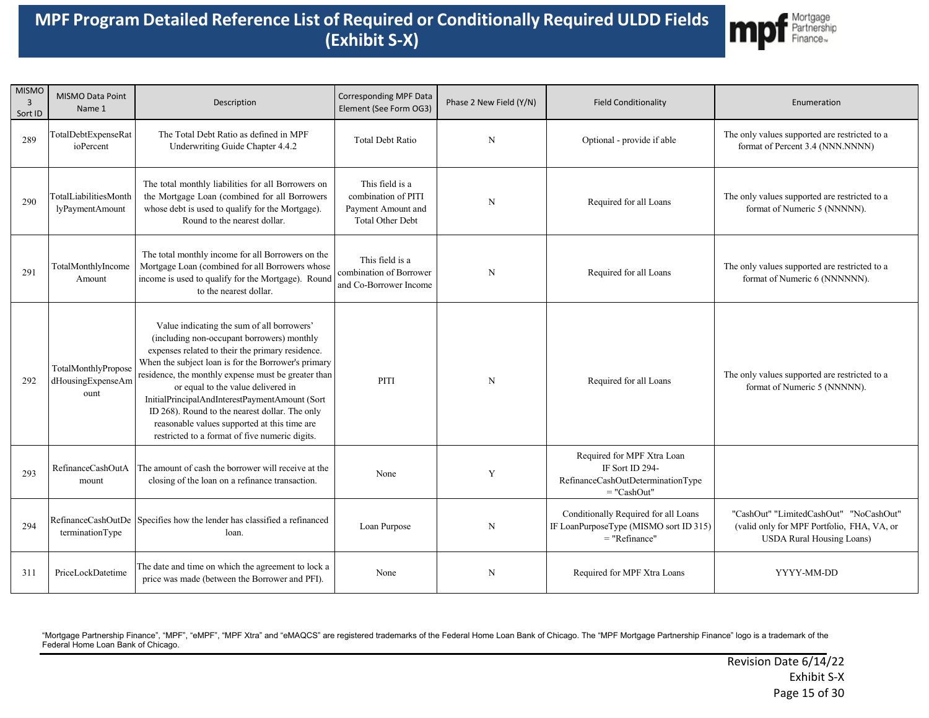

| <b>MISMO</b><br>3<br>Sort ID | <b>MISMO Data Point</b><br>Name 1                | Description                                                                                                                                                                                                                                                                                                                                                                                                                                                                                            | <b>Corresponding MPF Data</b><br>Element (See Form OG3)                                 | Phase 2 New Field (Y/N) | <b>Field Conditionality</b>                                                                         | Enumeration                                                                                                              |
|------------------------------|--------------------------------------------------|--------------------------------------------------------------------------------------------------------------------------------------------------------------------------------------------------------------------------------------------------------------------------------------------------------------------------------------------------------------------------------------------------------------------------------------------------------------------------------------------------------|-----------------------------------------------------------------------------------------|-------------------------|-----------------------------------------------------------------------------------------------------|--------------------------------------------------------------------------------------------------------------------------|
| 289                          | TotalDebtExpenseRat<br>ioPercent                 | The Total Debt Ratio as defined in MPF<br>Underwriting Guide Chapter 4.4.2                                                                                                                                                                                                                                                                                                                                                                                                                             | <b>Total Debt Ratio</b>                                                                 | N                       | Optional - provide if able                                                                          | The only values supported are restricted to a<br>format of Percent 3.4 (NNN.NNNN)                                        |
| 290                          | TotalLiabilitiesMonth<br>lyPaymentAmount         | The total monthly liabilities for all Borrowers on<br>the Mortgage Loan (combined for all Borrowers<br>whose debt is used to qualify for the Mortgage).<br>Round to the nearest dollar.                                                                                                                                                                                                                                                                                                                | This field is a<br>combination of PITI<br>Payment Amount and<br><b>Total Other Debt</b> | N                       | Required for all Loans                                                                              | The only values supported are restricted to a<br>format of Numeric 5 (NNNNN).                                            |
| 291                          | TotalMonthlyIncome<br>Amount                     | The total monthly income for all Borrowers on the<br>Mortgage Loan (combined for all Borrowers whose<br>income is used to qualify for the Mortgage). Round<br>to the nearest dollar.                                                                                                                                                                                                                                                                                                                   | This field is a<br>combination of Borrower<br>and Co-Borrower Income                    | $\mathbf N$             | Required for all Loans                                                                              | The only values supported are restricted to a<br>format of Numeric 6 (NNNNNN).                                           |
| 292                          | TotalMonthlyPropose<br>dHousingExpenseAm<br>ount | Value indicating the sum of all borrowers'<br>(including non-occupant borrowers) monthly<br>expenses related to their the primary residence.<br>When the subject loan is for the Borrower's primary<br>residence, the monthly expense must be greater than<br>or equal to the value delivered in<br>InitialPrincipalAndInterestPaymentAmount (Sort<br>ID 268). Round to the nearest dollar. The only<br>reasonable values supported at this time are<br>restricted to a format of five numeric digits. | <b>PITI</b>                                                                             | N                       | Required for all Loans                                                                              | The only values supported are restricted to a<br>format of Numeric 5 (NNNNN).                                            |
| 293                          | RefinanceCashOutA<br>mount                       | The amount of cash the borrower will receive at the<br>closing of the loan on a refinance transaction.                                                                                                                                                                                                                                                                                                                                                                                                 | None                                                                                    | Y                       | Required for MPF Xtra Loan<br>IF Sort ID 294-<br>RefinanceCashOutDeterminationType<br>$=$ "CashOut" |                                                                                                                          |
| 294                          | terminationType                                  | RefinanceCashOutDe Specifies how the lender has classified a refinanced<br>loan.                                                                                                                                                                                                                                                                                                                                                                                                                       | Loan Purpose                                                                            | N                       | Conditionally Required for all Loans<br>IF LoanPurposeType (MISMO sort ID 315)<br>$=$ "Refinance"   | "CashOut" "LimitedCashOut" "NoCashOut"<br>(valid only for MPF Portfolio, FHA, VA, or<br><b>USDA Rural Housing Loans)</b> |
| 311                          | PriceLockDatetime                                | The date and time on which the agreement to lock a<br>price was made (between the Borrower and PFI).                                                                                                                                                                                                                                                                                                                                                                                                   | None                                                                                    | $\mathbf N$             | Required for MPF Xtra Loans                                                                         | YYYY-MM-DD                                                                                                               |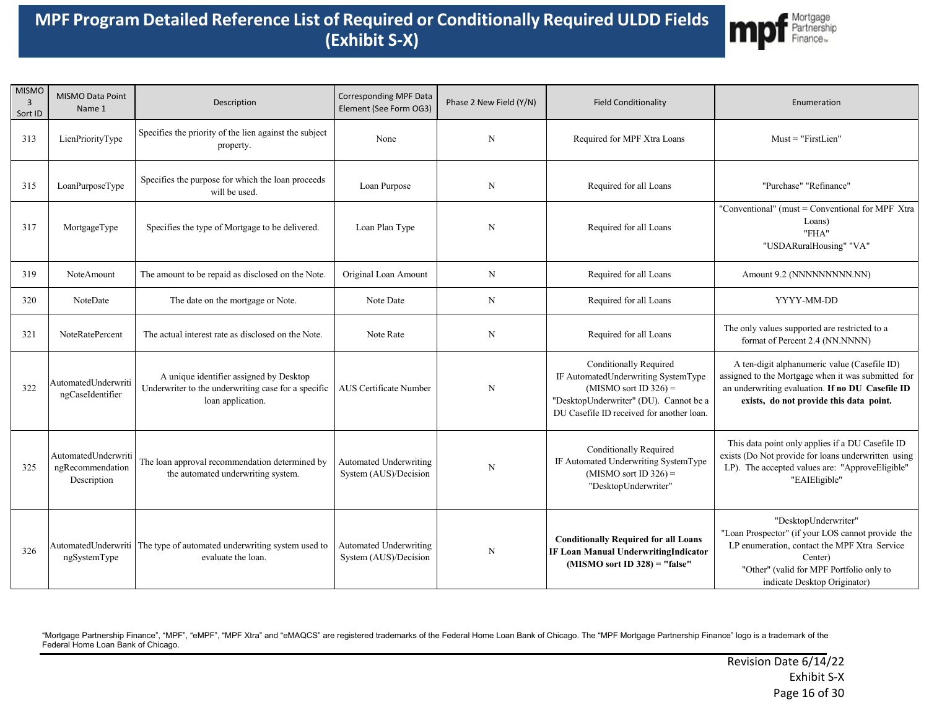

| <b>MISMO</b><br>$\overline{3}$<br>Sort ID | MISMO Data Point<br>Name 1                             | Description                                                                                                         | <b>Corresponding MPF Data</b><br>Element (See Form OG3) | Phase 2 New Field (Y/N) | <b>Field Conditionality</b>                                                                                                                                                            | Enumeration                                                                                                                                                                                                      |
|-------------------------------------------|--------------------------------------------------------|---------------------------------------------------------------------------------------------------------------------|---------------------------------------------------------|-------------------------|----------------------------------------------------------------------------------------------------------------------------------------------------------------------------------------|------------------------------------------------------------------------------------------------------------------------------------------------------------------------------------------------------------------|
| 313                                       | LienPriorityType                                       | Specifies the priority of the lien against the subject<br>property.                                                 | None                                                    | N                       | Required for MPF Xtra Loans                                                                                                                                                            | $Must = "FirstLien"$                                                                                                                                                                                             |
| 315                                       | LoanPurposeType                                        | Specifies the purpose for which the loan proceeds<br>will be used.                                                  | Loan Purpose                                            | $_{\rm N}$              | Required for all Loans                                                                                                                                                                 | "Purchase" "Refinance"                                                                                                                                                                                           |
| 317                                       | MortgageType                                           | Specifies the type of Mortgage to be delivered.                                                                     | Loan Plan Type                                          | N                       | Required for all Loans                                                                                                                                                                 | "Conventional" (must = Conventional for MPF Xtra<br>Loans)<br>"FHA"<br>"USDARuralHousing" "VA"                                                                                                                   |
| 319                                       | NoteAmount                                             | The amount to be repaid as disclosed on the Note.                                                                   | Original Loan Amount                                    | N                       | Required for all Loans                                                                                                                                                                 | Amount 9.2 (NNNNNNNNNN.NN)                                                                                                                                                                                       |
| 320                                       | NoteDate                                               | The date on the mortgage or Note.                                                                                   | Note Date                                               | $_{\rm N}$              | Required for all Loans                                                                                                                                                                 | YYYY-MM-DD                                                                                                                                                                                                       |
| 321                                       | <b>NoteRatePercent</b>                                 | The actual interest rate as disclosed on the Note.                                                                  | Note Rate                                               | N                       | Required for all Loans                                                                                                                                                                 | The only values supported are restricted to a<br>format of Percent 2.4 (NN.NNNN)                                                                                                                                 |
| 322                                       | AutomatedUnderwriti<br>ngCaseIdentifier                | A unique identifier assigned by Desktop<br>Underwriter to the underwriting case for a specific<br>loan application. | <b>AUS</b> Certificate Number                           | $_{\rm N}$              | <b>Conditionally Required</b><br>IF AutomatedUnderwriting SystemType<br>$(MISMO sort ID 326) =$<br>"DesktopUnderwriter" (DU). Cannot be a<br>DU Casefile ID received for another loan. | A ten-digit alphanumeric value (Casefile ID)<br>assigned to the Mortgage when it was submitted for<br>an underwriting evaluation. If no DU Casefile ID<br>exists, do not provide this data point.                |
| 325                                       | AutomatedUnderwriti<br>ngRecommendation<br>Description | The loan approval recommendation determined by<br>the automated underwriting system.                                | Automated Underwriting<br>System (AUS)/Decision         | $\mathbf N$             | Conditionally Required<br>IF Automated Underwriting SystemType<br>$(MISMO sort ID 326) =$<br>"DesktopUnderwriter"                                                                      | This data point only applies if a DU Casefile ID<br>exists (Do Not provide for loans underwritten using<br>LP). The accepted values are: "ApproveEligible"<br>"EAIEligible"                                      |
| 326                                       | AutomatedUnderwriti<br>ngSystemType                    | The type of automated underwriting system used to<br>evaluate the loan.                                             | Automated Underwriting<br>System (AUS)/Decision         | N                       | <b>Conditionally Required for all Loans</b><br><b>IF Loan Manual UnderwritingIndicator</b><br>$(MISMO sort ID 328) = "false"$                                                          | "DesktopUnderwriter"<br>"Loan Prospector" (if your LOS cannot provide the<br>LP enumeration, contact the MPF Xtra Service<br>Center)<br>"Other" (valid for MPF Portfolio only to<br>indicate Desktop Originator) |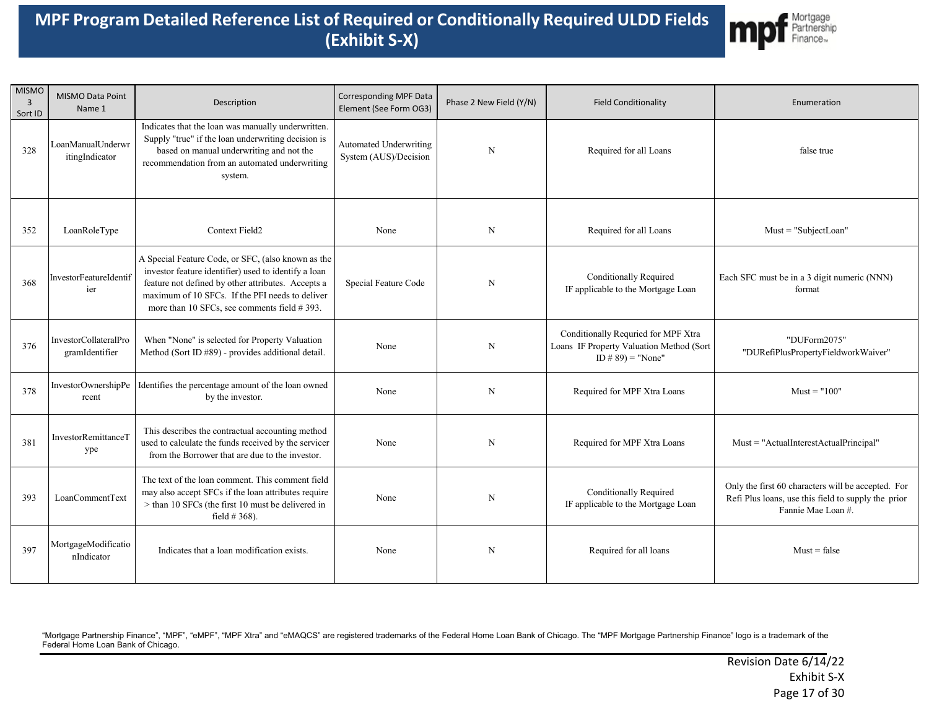

| <b>MISMO</b><br>$\overline{3}$<br>Sort ID | <b>MISMO Data Point</b><br>Name 1       | Description                                                                                                                                                                                                                                                        | <b>Corresponding MPF Data</b><br>Element (See Form OG3) | Phase 2 New Field (Y/N) | <b>Field Conditionality</b>                                                                             | Enumeration                                                                                                                     |
|-------------------------------------------|-----------------------------------------|--------------------------------------------------------------------------------------------------------------------------------------------------------------------------------------------------------------------------------------------------------------------|---------------------------------------------------------|-------------------------|---------------------------------------------------------------------------------------------------------|---------------------------------------------------------------------------------------------------------------------------------|
| 328                                       | LoanManualUnderwr<br>itingIndicator     | Indicates that the loan was manually underwritten.<br>Supply "true" if the loan underwriting decision is<br>based on manual underwriting and not the<br>recommendation from an automated underwriting<br>system.                                                   | Automated Underwriting<br>System (AUS)/Decision         | N                       | Required for all Loans                                                                                  | false true                                                                                                                      |
| 352                                       | LoanRoleType                            | Context Field2                                                                                                                                                                                                                                                     | None                                                    | $\mathbf N$             | Required for all Loans                                                                                  | $Must = "Subject Loan"$                                                                                                         |
| 368                                       | InvestorFeatureIdentif<br>ier           | A Special Feature Code, or SFC, (also known as the<br>investor feature identifier) used to identify a loan<br>feature not defined by other attributes. Accepts a<br>maximum of 10 SFCs. If the PFI needs to deliver<br>more than 10 SFCs, see comments field #393. | Special Feature Code                                    | N                       | <b>Conditionally Required</b><br>IF applicable to the Mortgage Loan                                     | Each SFC must be in a 3 digit numeric (NNN)<br>format                                                                           |
| 376                                       | InvestorCollateralPro<br>gramIdentifier | When "None" is selected for Property Valuation<br>Method (Sort ID #89) - provides additional detail.                                                                                                                                                               | None                                                    | N                       | Conditionally Requried for MPF Xtra<br>Loans IF Property Valuation Method (Sort<br>ID # $89$ ) = "None" | "DUForm2075"<br>"DURefiPlusPropertyFieldworkWaiver"                                                                             |
| 378                                       | InvestorOwnershipPe<br>rcent            | Identifies the percentage amount of the loan owned<br>by the investor.                                                                                                                                                                                             | None                                                    | N                       | Required for MPF Xtra Loans                                                                             | $Must = "100"$                                                                                                                  |
| 381                                       | InvestorRemittanceT<br>ype              | This describes the contractual accounting method<br>used to calculate the funds received by the servicer<br>from the Borrower that are due to the investor.                                                                                                        | None                                                    | N                       | Required for MPF Xtra Loans                                                                             | Must = "ActualInterestActualPrincipal"                                                                                          |
| 393                                       | LoanCommentText                         | The text of the loan comment. This comment field<br>may also accept SFCs if the loan attributes require<br>> than 10 SFCs (the first 10 must be delivered in<br>field $#368$ ).                                                                                    | None                                                    | N                       | <b>Conditionally Required</b><br>IF applicable to the Mortgage Loan                                     | Only the first 60 characters will be accepted. For<br>Refi Plus loans, use this field to supply the prior<br>Fannie Mae Loan #. |
| 397                                       | MortgageModificatio<br>nIndicator       | Indicates that a loan modification exists.                                                                                                                                                                                                                         | None                                                    | N                       | Required for all loans                                                                                  | $Must = false$                                                                                                                  |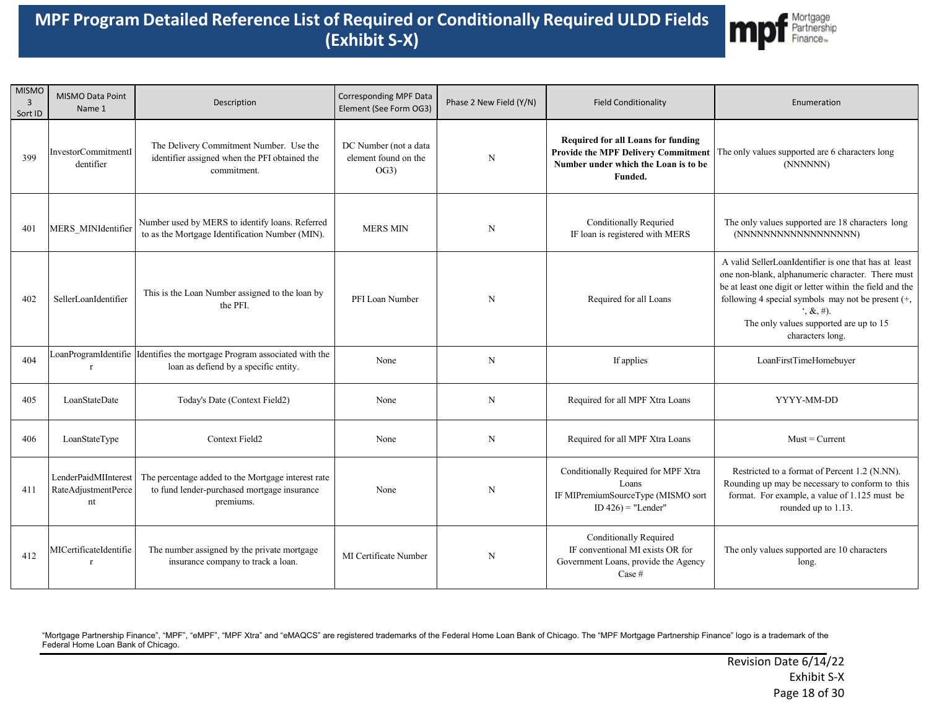

| <b>MISMO</b><br>$\overline{3}$<br>Sort ID | MISMO Data Point<br>Name 1                        | Description                                                                                                    | Corresponding MPF Data<br>Element (See Form OG3)      | Phase 2 New Field (Y/N) | <b>Field Conditionality</b>                                                                                                         | Enumeration                                                                                                                                                                                                                                                                                                                       |
|-------------------------------------------|---------------------------------------------------|----------------------------------------------------------------------------------------------------------------|-------------------------------------------------------|-------------------------|-------------------------------------------------------------------------------------------------------------------------------------|-----------------------------------------------------------------------------------------------------------------------------------------------------------------------------------------------------------------------------------------------------------------------------------------------------------------------------------|
| 399                                       | InvestorCommitmentI<br>dentifier                  | The Delivery Commitment Number. Use the<br>identifier assigned when the PFI obtained the<br>commitment.        | DC Number (not a data<br>element found on the<br>OG3) | $\mathbf N$             | Required for all Loans for funding<br><b>Provide the MPF Delivery Commitment</b><br>Number under which the Loan is to be<br>Funded. | The only values supported are 6 characters long<br>(NNNNNN)                                                                                                                                                                                                                                                                       |
| 401                                       | MERS MINIdentifier                                | Number used by MERS to identify loans. Referred<br>to as the Mortgage Identification Number (MIN).             | <b>MERS MIN</b>                                       | $\mathbf N$             | <b>Conditionally Requried</b><br>IF loan is registered with MERS                                                                    | The only values supported are 18 characters long<br>(NNNNNNNNNNNNNNNNNN)                                                                                                                                                                                                                                                          |
| 402                                       | SellerLoanIdentifier                              | This is the Loan Number assigned to the loan by<br>the PFI.                                                    | PFI Loan Number                                       | N                       | Required for all Loans                                                                                                              | A valid SellerLoanIdentifier is one that has at least<br>one non-blank, alphanumeric character. There must<br>be at least one digit or letter within the field and the<br>following 4 special symbols may not be present (+,<br>$\hat{z}, \hat{\mathcal{X}}, \#$ ).<br>The only values supported are up to 15<br>characters long. |
| 404                                       | LoanProgramIdentifie<br>$\mathbf{r}$              | Identifies the mortgage Program associated with the<br>loan as defiend by a specific entity.                   | None                                                  | N                       | If applies                                                                                                                          | LoanFirstTimeHomebuyer                                                                                                                                                                                                                                                                                                            |
| 405                                       | LoanStateDate                                     | Today's Date (Context Field2)                                                                                  | None                                                  | N                       | Required for all MPF Xtra Loans                                                                                                     | YYYY-MM-DD                                                                                                                                                                                                                                                                                                                        |
| 406                                       | LoanStateType                                     | Context Field2                                                                                                 | None                                                  | $\mathbf N$             | Required for all MPF Xtra Loans                                                                                                     | $Must = Current$                                                                                                                                                                                                                                                                                                                  |
| 411                                       | LenderPaidMIInterest<br>RateAdjustmentPerce<br>nt | The percentage added to the Mortgage interest rate<br>to fund lender-purchased mortgage insurance<br>premiums. | None                                                  | N                       | Conditionally Required for MPF Xtra<br>Loans<br>IF MIPremiumSourceType (MISMO sort<br>ID $426$ ) = "Lender"                         | Restricted to a format of Percent 1.2 (N.NN).<br>Rounding up may be necessary to conform to this<br>format. For example, a value of 1.125 must be<br>rounded up to 1.13.                                                                                                                                                          |
| 412                                       | MICertificateIdentifie<br>$\mathbf{r}$            | The number assigned by the private mortgage<br>insurance company to track a loan.                              | MI Certificate Number                                 | N                       | <b>Conditionally Required</b><br>IF conventional MI exists OR for<br>Government Loans, provide the Agency<br>Case #                 | The only values supported are 10 characters<br>long.                                                                                                                                                                                                                                                                              |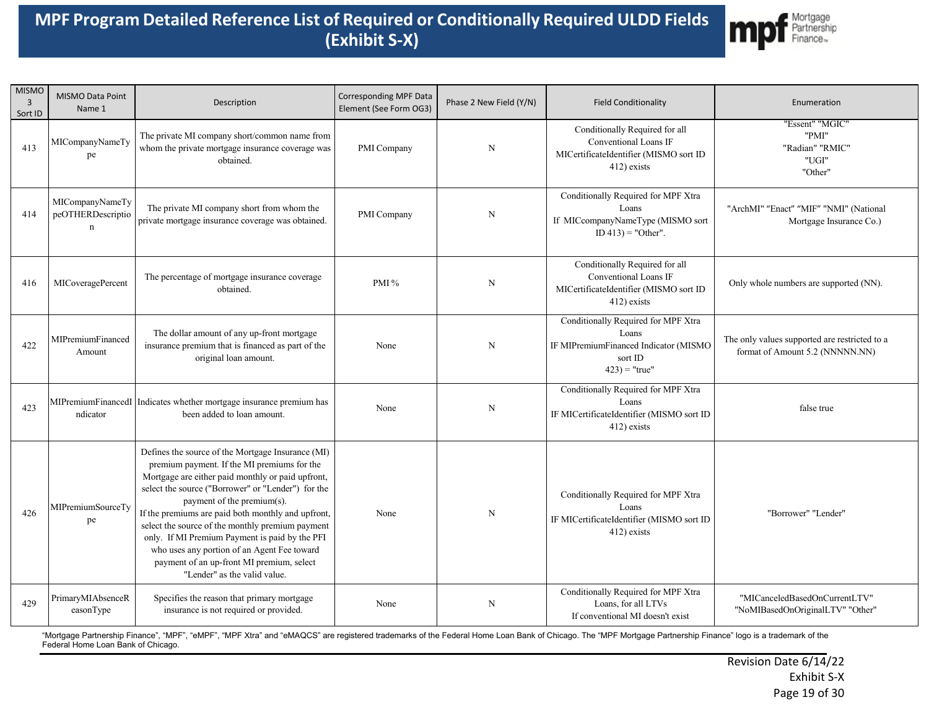

| <b>MISMO</b><br>$\overline{3}$<br>Sort ID | MISMO Data Point<br>Name 1                          | Description                                                                                                                                                                                                                                                                                                                                                                                                                                                                                                                       | Corresponding MPF Data<br>Element (See Form OG3) | Phase 2 New Field (Y/N) | <b>Field Conditionality</b>                                                                                          | Enumeration                                                                      |
|-------------------------------------------|-----------------------------------------------------|-----------------------------------------------------------------------------------------------------------------------------------------------------------------------------------------------------------------------------------------------------------------------------------------------------------------------------------------------------------------------------------------------------------------------------------------------------------------------------------------------------------------------------------|--------------------------------------------------|-------------------------|----------------------------------------------------------------------------------------------------------------------|----------------------------------------------------------------------------------|
| 413                                       | MICompanyNameTy<br>pe                               | The private MI company short/common name from<br>whom the private mortgage insurance coverage was<br>obtained.                                                                                                                                                                                                                                                                                                                                                                                                                    | PMI Company                                      | $\mathbf N$             | Conditionally Required for all<br>Conventional Loans IF<br>MICertificateIdentifier (MISMO sort ID<br>412) exists     | 'Essent" "MGIC"<br>"PMI"<br>"Radian" "RMIC"<br>"UGI"<br>"Other"                  |
| 414                                       | MICompanyNameTy<br>peOTHERDescriptio<br>$\mathbf n$ | The private MI company short from whom the<br>private mortgage insurance coverage was obtained.                                                                                                                                                                                                                                                                                                                                                                                                                                   | PMI Company                                      | N                       | Conditionally Required for MPF Xtra<br>Loans<br>If MICcompanyNameType (MISMO sort<br>$ID 413$ = "Other".             | "ArchMI" "Enact" "MIF" "NMI" (National<br>Mortgage Insurance Co.)                |
| 416                                       | MICoveragePercent                                   | The percentage of mortgage insurance coverage<br>obtained.                                                                                                                                                                                                                                                                                                                                                                                                                                                                        | PMI $\%$                                         | N                       | Conditionally Required for all<br>Conventional Loans IF<br>MICertificateIdentifier (MISMO sort ID<br>412) exists     | Only whole numbers are supported (NN).                                           |
| 422                                       | MIPremiumFinanced<br>Amount                         | The dollar amount of any up-front mortgage<br>insurance premium that is financed as part of the<br>original loan amount.                                                                                                                                                                                                                                                                                                                                                                                                          | None                                             | N                       | Conditionally Required for MPF Xtra<br>Loans<br>IF MIPremiumFinanced Indicator (MISMO<br>sort ID<br>$423$ ) = "true" | The only values supported are restricted to a<br>format of Amount 5.2 (NNNNN.NN) |
| 423                                       | ndicator                                            | MIPremiumFinancedI   Indicates whether mortgage insurance premium has<br>been added to loan amount.                                                                                                                                                                                                                                                                                                                                                                                                                               | None                                             | N                       | Conditionally Required for MPF Xtra<br>Loans<br>IF MICertificateIdentifier (MISMO sort ID<br>412) exists             | false true                                                                       |
| 426                                       | MIPremiumSourceTy<br>pe                             | Defines the source of the Mortgage Insurance (MI)<br>premium payment. If the MI premiums for the<br>Mortgage are either paid monthly or paid upfront,<br>select the source ("Borrower" or "Lender") for the<br>payment of the premium(s).<br>If the premiums are paid both monthly and upfront,<br>select the source of the monthly premium payment<br>only. If MI Premium Payment is paid by the PFI<br>who uses any portion of an Agent Fee toward<br>payment of an up-front MI premium, select<br>"Lender" as the valid value. | None                                             | $\mathbf N$             | Conditionally Required for MPF Xtra<br>Loans<br>IF MICertificateIdentifier (MISMO sort ID<br>412) exists             | "Borrower" "Lender"                                                              |
| 429                                       | PrimaryMIAbsenceR<br>easonType                      | Specifies the reason that primary mortgage<br>insurance is not required or provided.                                                                                                                                                                                                                                                                                                                                                                                                                                              | None                                             | $\mathbf N$             | Conditionally Required for MPF Xtra<br>Loans, for all LTVs<br>If conventional MI doesn't exist                       | "MICanceledBasedOnCurrentLTV"<br>"NoMIBasedOnOriginalLTV" "Other"                |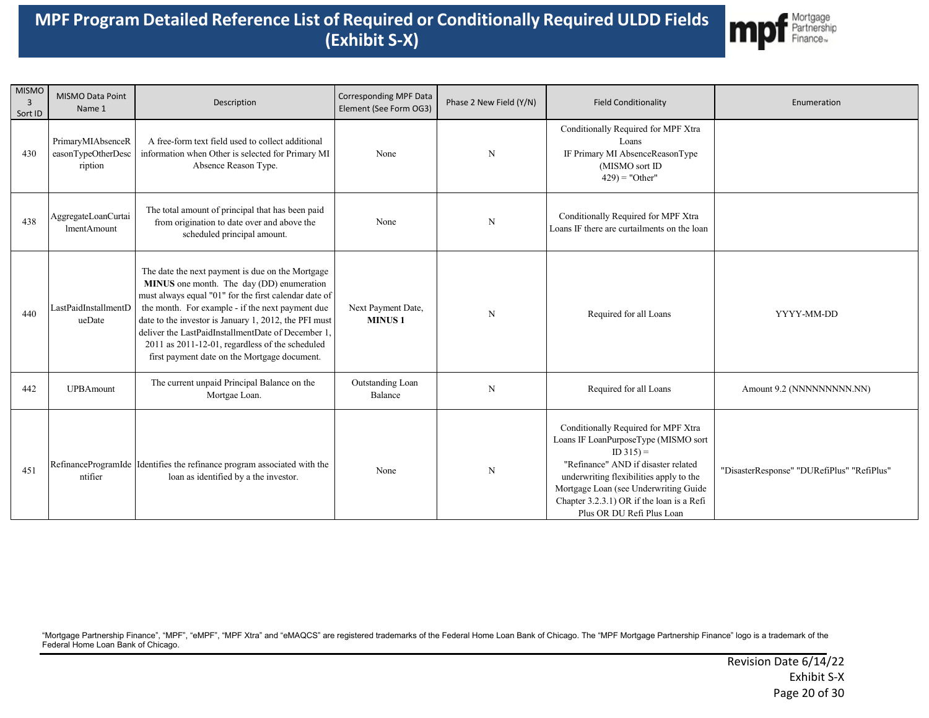

| <b>MISMO</b><br>3<br>Sort ID | MISMO Data Point<br>Name 1                         | Description                                                                                                                                                                                                                                                                                                                                                                                                                  | Corresponding MPF Data<br>Element (See Form OG3) | Phase 2 New Field (Y/N) | <b>Field Conditionality</b>                                                                                                                                                                                                                                                                    | Enumeration                                |
|------------------------------|----------------------------------------------------|------------------------------------------------------------------------------------------------------------------------------------------------------------------------------------------------------------------------------------------------------------------------------------------------------------------------------------------------------------------------------------------------------------------------------|--------------------------------------------------|-------------------------|------------------------------------------------------------------------------------------------------------------------------------------------------------------------------------------------------------------------------------------------------------------------------------------------|--------------------------------------------|
| 430                          | PrimaryMIAbsenceR<br>easonTypeOtherDesc<br>ription | A free-form text field used to collect additional<br>information when Other is selected for Primary MI<br>Absence Reason Type.                                                                                                                                                                                                                                                                                               | None                                             | N                       | Conditionally Required for MPF Xtra<br>Loans<br>IF Primary MI AbsenceReasonType<br>(MISMO sort ID<br>$429$ ) = "Other"                                                                                                                                                                         |                                            |
| 438                          | AggregateLoanCurtai<br><b>ImentAmount</b>          | The total amount of principal that has been paid<br>from origination to date over and above the<br>scheduled principal amount.                                                                                                                                                                                                                                                                                               | None                                             | N                       | Conditionally Required for MPF Xtra<br>Loans IF there are curtailments on the loan                                                                                                                                                                                                             |                                            |
| 440                          | LastPaidInstallmentD<br>ueDate                     | The date the next payment is due on the Mortgage<br>MINUS one month. The day (DD) enumeration<br>must always equal "01" for the first calendar date of<br>the month. For example - if the next payment due<br>date to the investor is January 1, 2012, the PFI must<br>deliver the LastPaidInstallmentDate of December 1,<br>2011 as 2011-12-01, regardless of the scheduled<br>first payment date on the Mortgage document. | Next Payment Date,<br><b>MINUS1</b>              | N                       | Required for all Loans                                                                                                                                                                                                                                                                         | YYYY-MM-DD                                 |
| 442                          | <b>UPBAmount</b>                                   | The current unpaid Principal Balance on the<br>Mortgae Loan.                                                                                                                                                                                                                                                                                                                                                                 | Outstanding Loan<br>Balance                      | N                       | Required for all Loans                                                                                                                                                                                                                                                                         | Amount 9.2 (NNNNNNNNNN.NN)                 |
| 451                          | ntifier                                            | RefinanceProgramIde Identifies the refinance program associated with the<br>loan as identified by a the investor.                                                                                                                                                                                                                                                                                                            | None                                             | N                       | Conditionally Required for MPF Xtra<br>Loans IF LoanPurposeType (MISMO sort<br>$ID 315 =$<br>"Refinance" AND if disaster related<br>underwriting flexibilities apply to the<br>Mortgage Loan (see Underwriting Guide<br>Chapter 3.2.3.1) OR if the loan is a Refi<br>Plus OR DU Refi Plus Loan | "DisasterResponse" "DURefiPlus" "RefiPlus" |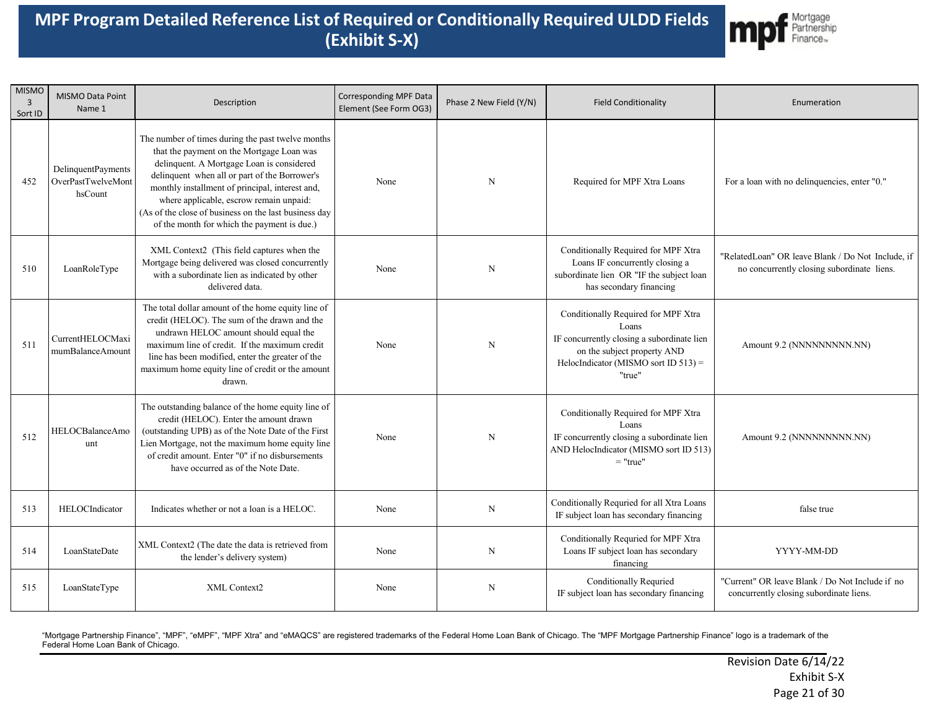

| <b>MISMO</b><br>$\overline{3}$<br>Sort ID | MISMO Data Point<br>Name 1                          | Description                                                                                                                                                                                                                                                                                                                                                                                        | <b>Corresponding MPF Data</b><br>Element (See Form OG3) | Phase 2 New Field (Y/N) | <b>Field Conditionality</b>                                                                                                                                                    | Enumeration                                                                                     |
|-------------------------------------------|-----------------------------------------------------|----------------------------------------------------------------------------------------------------------------------------------------------------------------------------------------------------------------------------------------------------------------------------------------------------------------------------------------------------------------------------------------------------|---------------------------------------------------------|-------------------------|--------------------------------------------------------------------------------------------------------------------------------------------------------------------------------|-------------------------------------------------------------------------------------------------|
| 452                                       | DelinquentPayments<br>OverPastTwelveMont<br>hsCount | The number of times during the past twelve months<br>that the payment on the Mortgage Loan was<br>delinquent. A Mortgage Loan is considered<br>delinquent when all or part of the Borrower's<br>monthly installment of principal, interest and,<br>where applicable, escrow remain unpaid:<br>(As of the close of business on the last business day<br>of the month for which the payment is due.) | None                                                    | N                       | Required for MPF Xtra Loans                                                                                                                                                    | For a loan with no delinquencies, enter "0."                                                    |
| 510                                       | LoanRoleType                                        | XML Context2 (This field captures when the<br>Mortgage being delivered was closed concurrently<br>with a subordinate lien as indicated by other<br>delivered data.                                                                                                                                                                                                                                 | None                                                    | $\mathbf N$             | Conditionally Required for MPF Xtra<br>Loans IF concurrently closing a<br>subordinate lien OR "IF the subject loan<br>has secondary financing                                  | "RelatedLoan" OR leave Blank / Do Not Include, if<br>no concurrently closing subordinate liens. |
| 511                                       | CurrentHELOCMaxi<br>mumBalanceAmount                | The total dollar amount of the home equity line of<br>credit (HELOC). The sum of the drawn and the<br>undrawn HELOC amount should equal the<br>maximum line of credit. If the maximum credit<br>line has been modified, enter the greater of the<br>maximum home equity line of credit or the amount<br>drawn.                                                                                     | None                                                    | N                       | Conditionally Required for MPF Xtra<br>Loans<br>IF concurrently closing a subordinate lien<br>on the subject property AND<br>HelocIndicator (MISMO sort ID $513$ ) =<br>"true" | Amount 9.2 (NNNNNNNNN.NN)                                                                       |
| 512                                       | HELOCBalanceAmo<br>unt                              | The outstanding balance of the home equity line of<br>credit (HELOC). Enter the amount drawn<br>(outstanding UPB) as of the Note Date of the First<br>Lien Mortgage, not the maximum home equity line<br>of credit amount. Enter "0" if no disbursements<br>have occurred as of the Note Date.                                                                                                     | None                                                    | $\mathbf N$             | Conditionally Required for MPF Xtra<br>Loans<br>IF concurrently closing a subordinate lien<br>AND HelocIndicator (MISMO sort ID 513)<br>$=$ "true"                             | Amount 9.2 (NNNNNNNNN.NN)                                                                       |
| 513                                       | HELOCIndicator                                      | Indicates whether or not a loan is a HELOC.                                                                                                                                                                                                                                                                                                                                                        | None                                                    | N                       | Conditionally Requried for all Xtra Loans<br>IF subject loan has secondary financing                                                                                           | false true                                                                                      |
| 514                                       | LoanStateDate                                       | XML Context2 (The date the data is retrieved from<br>the lender's delivery system)                                                                                                                                                                                                                                                                                                                 | None                                                    | N                       | Conditionally Requried for MPF Xtra<br>Loans IF subject loan has secondary<br>financing                                                                                        | YYYY-MM-DD                                                                                      |
| 515                                       | LoanStateType                                       | XML Context2                                                                                                                                                                                                                                                                                                                                                                                       | None                                                    | N                       | Conditionally Requried<br>IF subject loan has secondary financing                                                                                                              | "Current" OR leave Blank / Do Not Include if no<br>concurrently closing subordinate liens.      |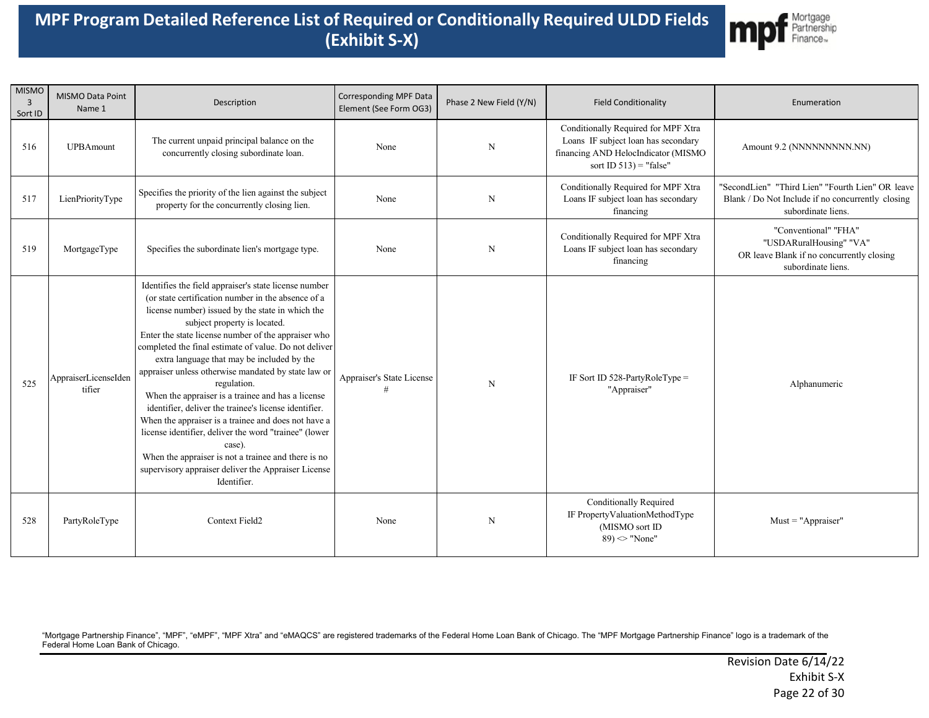

| <b>MISMO</b><br>$\overline{3}$<br>Sort ID | MISMO Data Point<br>Name 1     | Description                                                                                                                                                                                                                                                                                                                                                                                                                                                                                                                                                                                                                                                                                                                                                                                              | Corresponding MPF Data<br>Element (See Form OG3) | Phase 2 New Field (Y/N) | <b>Field Conditionality</b>                                                                                                                    | Enumeration                                                                                                                 |
|-------------------------------------------|--------------------------------|----------------------------------------------------------------------------------------------------------------------------------------------------------------------------------------------------------------------------------------------------------------------------------------------------------------------------------------------------------------------------------------------------------------------------------------------------------------------------------------------------------------------------------------------------------------------------------------------------------------------------------------------------------------------------------------------------------------------------------------------------------------------------------------------------------|--------------------------------------------------|-------------------------|------------------------------------------------------------------------------------------------------------------------------------------------|-----------------------------------------------------------------------------------------------------------------------------|
| 516                                       | <b>UPBAmount</b>               | The current unpaid principal balance on the<br>concurrently closing subordinate loan.                                                                                                                                                                                                                                                                                                                                                                                                                                                                                                                                                                                                                                                                                                                    | None                                             | N                       | Conditionally Required for MPF Xtra<br>Loans IF subject loan has secondary<br>financing AND HelocIndicator (MISMO<br>sort ID $513$ ) = "false" | Amount 9.2 (NNNNNNNNN.NN)                                                                                                   |
| 517                                       | LienPriorityType               | Specifies the priority of the lien against the subject<br>property for the concurrently closing lien.                                                                                                                                                                                                                                                                                                                                                                                                                                                                                                                                                                                                                                                                                                    | None                                             | N                       | Conditionally Required for MPF Xtra<br>Loans IF subject loan has secondary<br>financing                                                        | "SecondLien" "Third Lien" "Fourth Lien" OR leave<br>Blank / Do Not Include if no concurrently closing<br>subordinate liens. |
| 519                                       | MortgageType                   | Specifies the subordinate lien's mortgage type.                                                                                                                                                                                                                                                                                                                                                                                                                                                                                                                                                                                                                                                                                                                                                          | None                                             | N                       | Conditionally Required for MPF Xtra<br>Loans IF subject loan has secondary<br>financing                                                        | "Conventional" "FHA"<br>"USDARuralHousing" "VA"<br>OR leave Blank if no concurrently closing<br>subordinate liens.          |
| 525                                       | AppraiserLicenseIden<br>tifier | Identifies the field appraiser's state license number<br>(or state certification number in the absence of a<br>license number) issued by the state in which the<br>subject property is located.<br>Enter the state license number of the appraiser who<br>completed the final estimate of value. Do not deliver<br>extra language that may be included by the<br>appraiser unless otherwise mandated by state law or<br>regulation.<br>When the appraiser is a trainee and has a license<br>identifier, deliver the trainee's license identifier.<br>When the appraiser is a trainee and does not have a<br>license identifier, deliver the word "trainee" (lower<br>case).<br>When the appraiser is not a trainee and there is no<br>supervisory appraiser deliver the Appraiser License<br>Identifier. | Appraiser's State License                        | $\mathbf N$             | IF Sort ID 528-PartyRoleType =<br>"Appraiser"                                                                                                  | Alphanumeric                                                                                                                |
| 528                                       | PartyRoleType                  | Context Field2                                                                                                                                                                                                                                                                                                                                                                                                                                                                                                                                                                                                                                                                                                                                                                                           | None                                             | N                       | Conditionally Required<br>IF PropertyValuationMethodType<br>(MISMO sort ID<br>$89$ ) $\sim$ "None"                                             | $Must = "Approxiser"$                                                                                                       |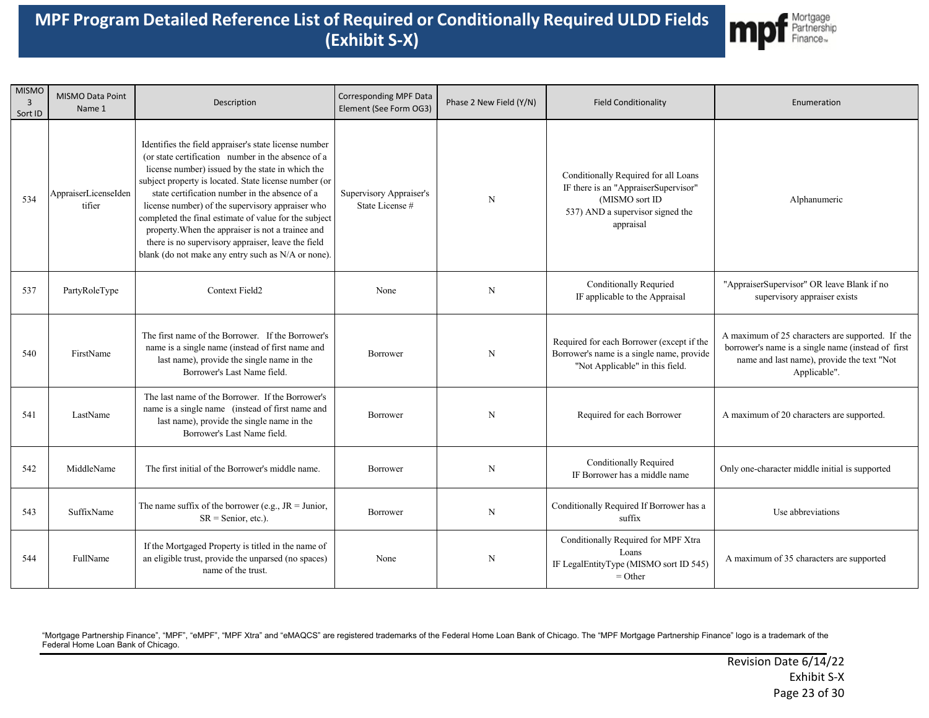

| <b>MISMO</b><br>$\overline{3}$<br>Sort ID | MISMO Data Point<br>Name 1     | Description                                                                                                                                                                                                                                                                                                                                                                                                                                                                                                                                              | <b>Corresponding MPF Data</b><br>Element (See Form OG3) | Phase 2 New Field (Y/N) | <b>Field Conditionality</b>                                                                                                                     | Enumeration                                                                                                                                                          |
|-------------------------------------------|--------------------------------|----------------------------------------------------------------------------------------------------------------------------------------------------------------------------------------------------------------------------------------------------------------------------------------------------------------------------------------------------------------------------------------------------------------------------------------------------------------------------------------------------------------------------------------------------------|---------------------------------------------------------|-------------------------|-------------------------------------------------------------------------------------------------------------------------------------------------|----------------------------------------------------------------------------------------------------------------------------------------------------------------------|
| 534                                       | AppraiserLicenseIden<br>tifier | Identifies the field appraiser's state license number<br>(or state certification number in the absence of a<br>license number) issued by the state in which the<br>subject property is located. State license number (or<br>state certification number in the absence of a<br>license number) of the supervisory appraiser who<br>completed the final estimate of value for the subject<br>property. When the appraiser is not a trainee and<br>there is no supervisory appraiser, leave the field<br>blank (do not make any entry such as N/A or none). | Supervisory Appraiser's<br>State License#               | N                       | Conditionally Required for all Loans<br>IF there is an "AppraiserSupervisor"<br>(MISMO sort ID<br>537) AND a supervisor signed the<br>appraisal | Alphanumeric                                                                                                                                                         |
| 537                                       | PartyRoleType                  | Context Field2                                                                                                                                                                                                                                                                                                                                                                                                                                                                                                                                           | None                                                    | N                       | Conditionally Requried<br>IF applicable to the Appraisal                                                                                        | "AppraiserSupervisor" OR leave Blank if no<br>supervisory appraiser exists                                                                                           |
| 540                                       | FirstName                      | The first name of the Borrower. If the Borrower's<br>name is a single name (instead of first name and<br>last name), provide the single name in the<br>Borrower's Last Name field.                                                                                                                                                                                                                                                                                                                                                                       | Borrower                                                | N                       | Required for each Borrower (except if the<br>Borrower's name is a single name, provide<br>"Not Applicable" in this field.                       | A maximum of 25 characters are supported. If the<br>borrower's name is a single name (instead of first<br>name and last name), provide the text "Not<br>Applicable". |
| 541                                       | LastName                       | The last name of the Borrower. If the Borrower's<br>name is a single name (instead of first name and<br>last name), provide the single name in the<br>Borrower's Last Name field.                                                                                                                                                                                                                                                                                                                                                                        | Borrower                                                | $\mathbf N$             | Required for each Borrower                                                                                                                      | A maximum of 20 characters are supported.                                                                                                                            |
| 542                                       | MiddleName                     | The first initial of the Borrower's middle name.                                                                                                                                                                                                                                                                                                                                                                                                                                                                                                         | Borrower                                                | $\mathbf N$             | Conditionally Required<br>IF Borrower has a middle name                                                                                         | Only one-character middle initial is supported                                                                                                                       |
| 543                                       | SuffixName                     | The name suffix of the borrower (e.g., $JR = Junior$ ,<br>$SR =$ Senior, etc.).                                                                                                                                                                                                                                                                                                                                                                                                                                                                          | Borrower                                                | $\mathbf N$             | Conditionally Required If Borrower has a<br>suffix                                                                                              | Use abbreviations                                                                                                                                                    |
| 544                                       | FullName                       | If the Mortgaged Property is titled in the name of<br>an eligible trust, provide the unparsed (no spaces)<br>name of the trust.                                                                                                                                                                                                                                                                                                                                                                                                                          | None                                                    | N                       | Conditionally Required for MPF Xtra<br>Loans<br>IF LegalEntityType (MISMO sort ID 545)<br>$=$ Other                                             | A maximum of 35 characters are supported                                                                                                                             |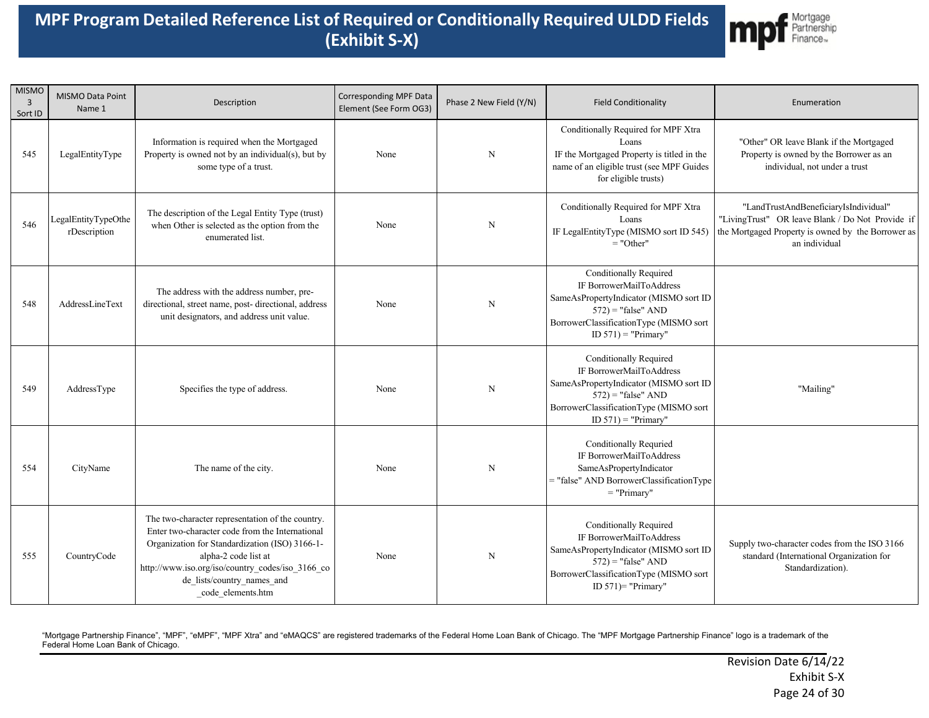

| <b>MISMO</b><br>3<br>Sort ID | MISMO Data Point<br>Name 1          | Description                                                                                                                                                                                                                                                                          | Corresponding MPF Data<br>Element (See Form OG3) | Phase 2 New Field (Y/N) | <b>Field Conditionality</b>                                                                                                                                                                      | Enumeration                                                                                                                                                      |
|------------------------------|-------------------------------------|--------------------------------------------------------------------------------------------------------------------------------------------------------------------------------------------------------------------------------------------------------------------------------------|--------------------------------------------------|-------------------------|--------------------------------------------------------------------------------------------------------------------------------------------------------------------------------------------------|------------------------------------------------------------------------------------------------------------------------------------------------------------------|
| 545                          | LegalEntityType                     | Information is required when the Mortgaged<br>Property is owned not by an individual(s), but by<br>some type of a trust.                                                                                                                                                             | None                                             | $\mathbf N$             | Conditionally Required for MPF Xtra<br>Loans<br>IF the Mortgaged Property is titled in the<br>name of an eligible trust (see MPF Guides<br>for eligible trusts)                                  | "Other" OR leave Blank if the Mortgaged<br>Property is owned by the Borrower as an<br>individual, not under a trust                                              |
| 546                          | LegalEntityTypeOthe<br>rDescription | The description of the Legal Entity Type (trust)<br>when Other is selected as the option from the<br>enumerated list.                                                                                                                                                                | None                                             | $\mathbf N$             | Conditionally Required for MPF Xtra<br>Loans<br>IF LegalEntityType (MISMO sort ID 545)<br>$=$ "Other"                                                                                            | "LandTrustAndBeneficiaryIsIndividual"<br>"LivingTrust" OR leave Blank / Do Not Provide if<br>the Mortgaged Property is owned by the Borrower as<br>an individual |
| 548                          | AddressLineText                     | The address with the address number, pre-<br>directional, street name, post- directional, address<br>unit designators, and address unit value.                                                                                                                                       | None                                             | $\mathbf N$             | <b>Conditionally Required</b><br>IF BorrowerMailToAddress<br>SameAsPropertyIndicator (MISMO sort ID<br>$572$ ) = "false" AND<br>BorrowerClassificationType (MISMO sort<br>ID $571$ ) = "Primary" |                                                                                                                                                                  |
| 549                          | AddressType                         | Specifies the type of address.                                                                                                                                                                                                                                                       | None                                             | $\mathbf N$             | <b>Conditionally Required</b><br>IF BorrowerMailToAddress<br>SameAsPropertyIndicator (MISMO sort ID<br>$572$ ) = "false" AND<br>BorrowerClassificationType (MISMO sort<br>ID $571$ ) = "Primary" | "Mailing"                                                                                                                                                        |
| 554                          | CityName                            | The name of the city.                                                                                                                                                                                                                                                                | None                                             | N                       | <b>Conditionally Requried</b><br>IF BorrowerMailToAddress<br>SameAsPropertyIndicator<br>= "false" AND BorrowerClassificationType<br>$=$ "Primary"                                                |                                                                                                                                                                  |
| 555                          | CountryCode                         | The two-character representation of the country.<br>Enter two-character code from the International<br>Organization for Standardization (ISO) 3166-1-<br>alpha-2 code list at<br>http://www.iso.org/iso/country_codes/iso_3166_co<br>de lists/country names and<br>code elements.htm | None                                             | $\mathbf N$             | <b>Conditionally Required</b><br>IF BorrowerMailToAddress<br>SameAsPropertyIndicator (MISMO sort ID<br>$572$ ) = "false" AND<br>BorrowerClassificationType (MISMO sort<br>ID $571$ ) = "Primary" | Supply two-character codes from the ISO 3166<br>standard (International Organization for<br>Standardization).                                                    |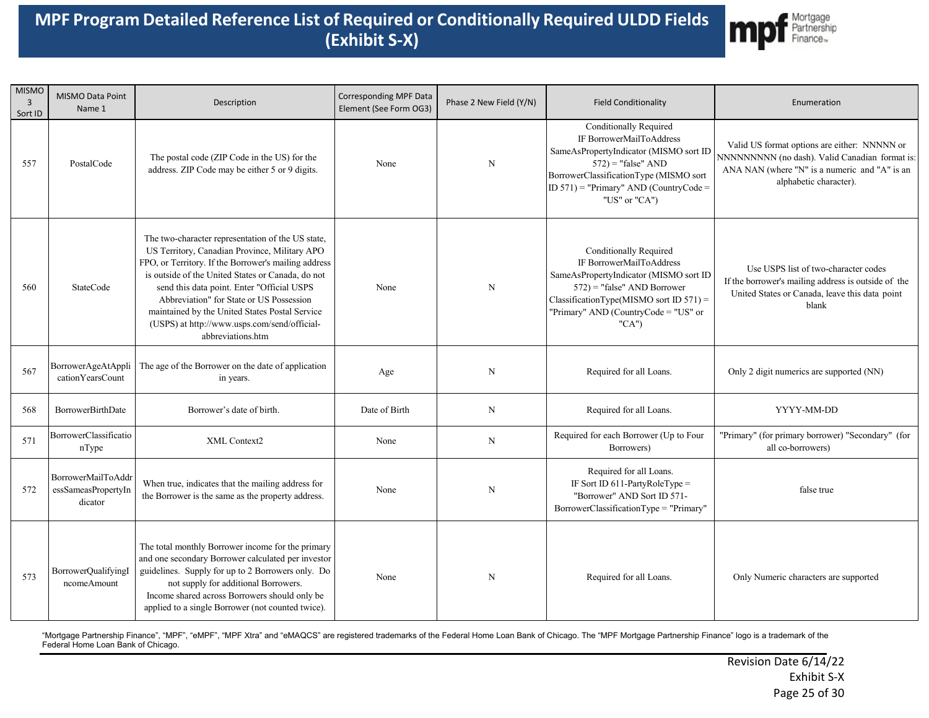

| <b>MISMO</b><br>$\overline{3}$<br>Sort ID | MISMO Data Point<br>Name 1                           | Description                                                                                                                                                                                                                                                                                                                                                                                                                      | <b>Corresponding MPF Data</b><br>Element (See Form OG3) | Phase 2 New Field (Y/N) | <b>Field Conditionality</b>                                                                                                                                                                                                        | Enumeration                                                                                                                                                               |
|-------------------------------------------|------------------------------------------------------|----------------------------------------------------------------------------------------------------------------------------------------------------------------------------------------------------------------------------------------------------------------------------------------------------------------------------------------------------------------------------------------------------------------------------------|---------------------------------------------------------|-------------------------|------------------------------------------------------------------------------------------------------------------------------------------------------------------------------------------------------------------------------------|---------------------------------------------------------------------------------------------------------------------------------------------------------------------------|
| 557                                       | PostalCode                                           | The postal code (ZIP Code in the US) for the<br>address. ZIP Code may be either 5 or 9 digits.                                                                                                                                                                                                                                                                                                                                   | None                                                    | $\mathbf N$             | Conditionally Required<br>IF BorrowerMailToAddress<br>SameAsPropertyIndicator (MISMO sort ID<br>$572$ ) = "false" AND<br>BorrowerClassificationType (MISMO sort<br>ID $571$ ) = "Primary" AND (CountryCode =<br>"US" or "CA")      | Valid US format options are either: NNNNN or<br>NNNNNNNNN (no dash). Valid Canadian format is:<br>ANA NAN (where "N" is a numeric and "A" is an<br>alphabetic character). |
| 560                                       | <b>StateCode</b>                                     | The two-character representation of the US state,<br>US Territory, Canadian Province, Military APO<br>FPO, or Territory. If the Borrower's mailing address<br>is outside of the United States or Canada, do not<br>send this data point. Enter "Official USPS<br>Abbreviation" for State or US Possession<br>maintained by the United States Postal Service<br>(USPS) at http://www.usps.com/send/official-<br>abbreviations.htm | None                                                    | ${\bf N}$               | <b>Conditionally Required</b><br>IF BorrowerMailToAddress<br>SameAsPropertyIndicator (MISMO sort ID<br>$572$ ) = "false" AND Borrower<br>$ClassificationType(MISMO sort ID 571) =$<br>"Primary" AND (CountryCode = "US" or<br>"CA" | Use USPS list of two-character codes<br>If the borrower's mailing address is outside of the<br>United States or Canada, leave this data point<br>blank                    |
| 567                                       | BorrowerAgeAtAppli<br>cationYearsCount               | The age of the Borrower on the date of application<br>in years.                                                                                                                                                                                                                                                                                                                                                                  | Age                                                     | N                       | Required for all Loans.                                                                                                                                                                                                            | Only 2 digit numerics are supported (NN)                                                                                                                                  |
| 568                                       | <b>BorrowerBirthDate</b>                             | Borrower's date of birth.                                                                                                                                                                                                                                                                                                                                                                                                        | Date of Birth                                           | N                       | Required for all Loans.                                                                                                                                                                                                            | YYYY-MM-DD                                                                                                                                                                |
| 571                                       | BorrowerClassificatio<br>nType                       | XML Context2                                                                                                                                                                                                                                                                                                                                                                                                                     | None                                                    | $\mathbf N$             | Required for each Borrower (Up to Four<br>Borrowers)                                                                                                                                                                               | "Primary" (for primary borrower) "Secondary" (for<br>all co-borrowers)                                                                                                    |
| 572                                       | BorrowerMailToAddr<br>essSameasPropertyIn<br>dicator | When true, indicates that the mailing address for<br>the Borrower is the same as the property address.                                                                                                                                                                                                                                                                                                                           | None                                                    | $\mathbf N$             | Required for all Loans.<br>IF Sort ID $611$ -PartyRoleType =<br>"Borrower" AND Sort ID 571-<br>BorrowerClassificationType = "Primary"                                                                                              | false true                                                                                                                                                                |
| 573                                       | BorrowerQualifyingI<br>ncomeAmount                   | The total monthly Borrower income for the primary<br>and one secondary Borrower calculated per investor<br>guidelines. Supply for up to 2 Borrowers only. Do<br>not supply for additional Borrowers.<br>Income shared across Borrowers should only be<br>applied to a single Borrower (not counted twice).                                                                                                                       | None                                                    | $\mathbf N$             | Required for all Loans.                                                                                                                                                                                                            | Only Numeric characters are supported                                                                                                                                     |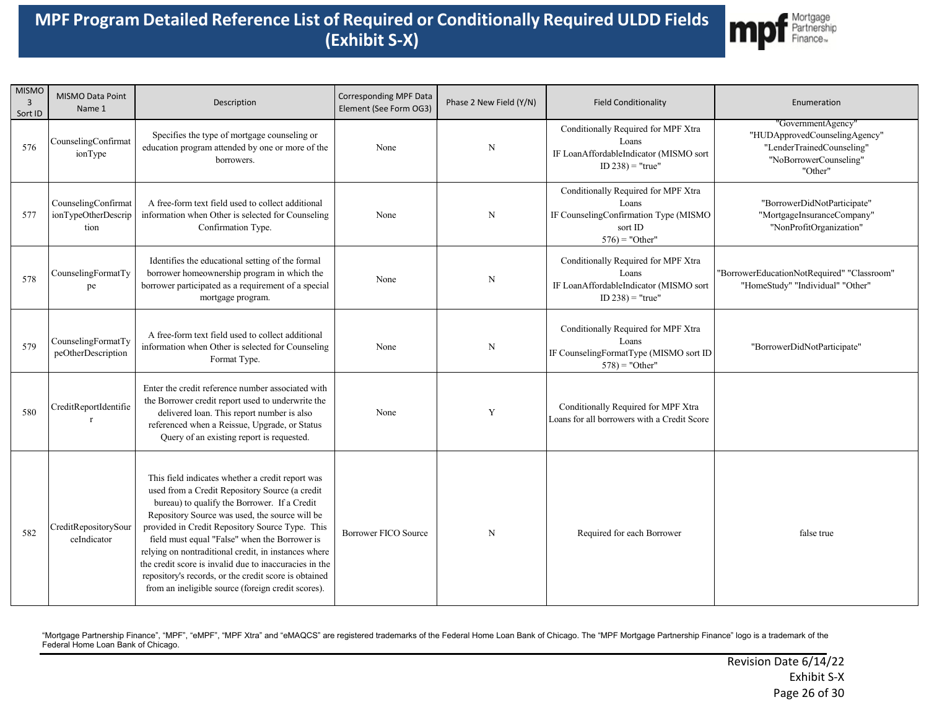

| <b>MISMO</b><br>$\overline{3}$<br>Sort ID | MISMO Data Point<br>Name 1                         | Description                                                                                                                                                                                                                                                                                                                                                                                                                                                                                                                               | Corresponding MPF Data<br>Element (See Form OG3) | Phase 2 New Field (Y/N) | <b>Field Conditionality</b>                                                                                           | Enumeration                                                                                                           |
|-------------------------------------------|----------------------------------------------------|-------------------------------------------------------------------------------------------------------------------------------------------------------------------------------------------------------------------------------------------------------------------------------------------------------------------------------------------------------------------------------------------------------------------------------------------------------------------------------------------------------------------------------------------|--------------------------------------------------|-------------------------|-----------------------------------------------------------------------------------------------------------------------|-----------------------------------------------------------------------------------------------------------------------|
| 576                                       | CounselingConfirmat<br>ionType                     | Specifies the type of mortgage counseling or<br>education program attended by one or more of the<br>borrowers.                                                                                                                                                                                                                                                                                                                                                                                                                            | None                                             | $\mathbf N$             | Conditionally Required for MPF Xtra<br>Loans<br>IF LoanAffordableIndicator (MISMO sort<br>$ID 238$ ) = "true"         | "GovernmentAgency"<br>"HUDApprovedCounselingAgency"<br>"LenderTrainedCounseling"<br>"NoBorrowerCounseling"<br>"Other" |
| 577                                       | CounselingConfirmat<br>ionTypeOtherDescrip<br>tion | A free-form text field used to collect additional<br>information when Other is selected for Counseling<br>Confirmation Type.                                                                                                                                                                                                                                                                                                                                                                                                              | None                                             | $\mathbf N$             | Conditionally Required for MPF Xtra<br>Loans<br>IF CounselingConfirmation Type (MISMO<br>sort ID<br>$576$ ) = "Other" | "BorrowerDidNotParticipate"<br>"MortgageInsuranceCompany"<br>"NonProfitOrganization"                                  |
| 578                                       | CounselingFormatTy<br>pe                           | Identifies the educational setting of the formal<br>borrower homeownership program in which the<br>borrower participated as a requirement of a special<br>mortgage program.                                                                                                                                                                                                                                                                                                                                                               | None                                             | $\mathbf N$             | Conditionally Required for MPF Xtra<br>Loans<br>IF LoanAffordableIndicator (MISMO sort<br>$ID 238$ ) = "true"         | "BorrowerEducationNotRequired" "Classroom"<br>"HomeStudy" "Individual" "Other"                                        |
| 579                                       | CounselingFormatTy<br>peOtherDescription           | A free-form text field used to collect additional<br>information when Other is selected for Counseling<br>Format Type.                                                                                                                                                                                                                                                                                                                                                                                                                    | None                                             | N                       | Conditionally Required for MPF Xtra<br>Loans<br>IF CounselingFormatType (MISMO sort ID<br>$578$ ) = "Other"           | "BorrowerDidNotParticipate"                                                                                           |
| 580                                       | CreditReportIdentifie<br>$\mathbf{r}$              | Enter the credit reference number associated with<br>the Borrower credit report used to underwrite the<br>delivered loan. This report number is also<br>referenced when a Reissue, Upgrade, or Status<br>Query of an existing report is requested.                                                                                                                                                                                                                                                                                        | None                                             | Y                       | Conditionally Required for MPF Xtra<br>Loans for all borrowers with a Credit Score                                    |                                                                                                                       |
| 582                                       | CreditRepositorySour<br>ceIndicator                | This field indicates whether a credit report was<br>used from a Credit Repository Source (a credit<br>bureau) to qualify the Borrower. If a Credit<br>Repository Source was used, the source will be<br>provided in Credit Repository Source Type. This<br>field must equal "False" when the Borrower is<br>relying on nontraditional credit, in instances where<br>the credit score is invalid due to inaccuracies in the<br>repository's records, or the credit score is obtained<br>from an ineligible source (foreign credit scores). | Borrower FICO Source                             | $\mathbf N$             | Required for each Borrower                                                                                            | false true                                                                                                            |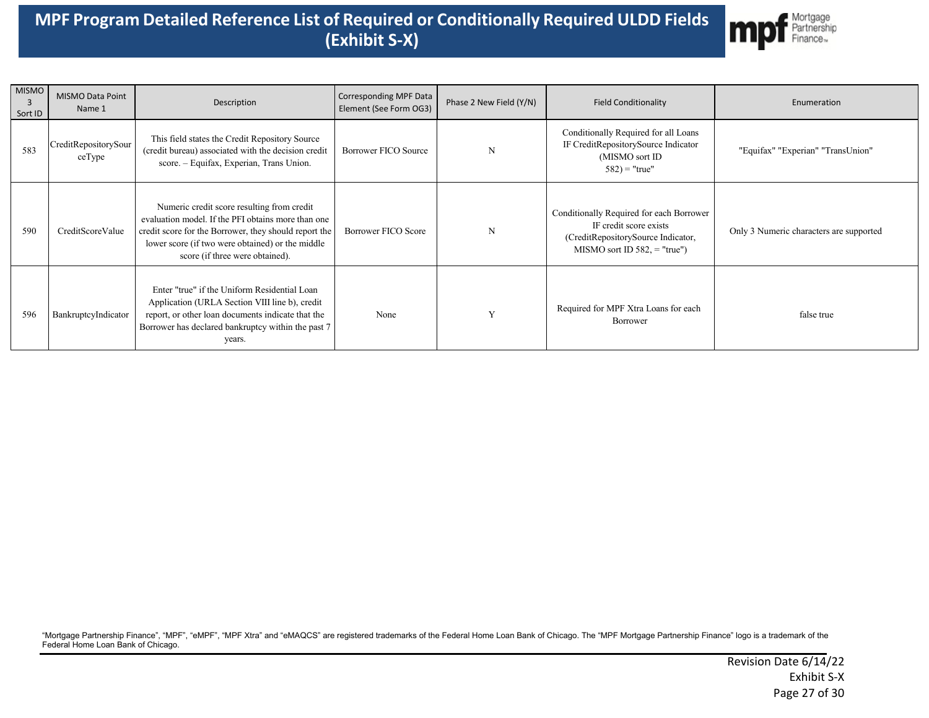

| <b>MISMO</b><br>3<br>Sort ID | <b>MISMO Data Point</b><br>Name 1 | Description                                                                                                                                                                                                                                      | Corresponding MPF Data<br>Element (See Form OG3) | Phase 2 New Field (Y/N) | <b>Field Conditionality</b>                                                                                                                 | Enumeration                             |
|------------------------------|-----------------------------------|--------------------------------------------------------------------------------------------------------------------------------------------------------------------------------------------------------------------------------------------------|--------------------------------------------------|-------------------------|---------------------------------------------------------------------------------------------------------------------------------------------|-----------------------------------------|
| 583                          | CreditRepositorySour<br>ceType    | This field states the Credit Repository Source<br>(credit bureau) associated with the decision credit<br>score. - Equifax, Experian, Trans Union.                                                                                                | <b>Borrower FICO Source</b>                      | N                       | Conditionally Required for all Loans<br>IF CreditRepositorySource Indicator<br>(MISMO sort ID)<br>$582$ ) = "true"                          | "Equifax" "Experian" "TransUnion"       |
| 590                          | CreditScoreValue                  | Numeric credit score resulting from credit<br>evaluation model. If the PFI obtains more than one<br>credit score for the Borrower, they should report the<br>lower score (if two were obtained) or the middle<br>score (if three were obtained). | Borrower FICO Score                              | N                       | Conditionally Required for each Borrower<br>IF credit score exists<br>(CreditRepositorySource Indicator,<br>MISMO sort ID $582$ , = "true") | Only 3 Numeric characters are supported |
| 596                          | BankruptcyIndicator               | Enter "true" if the Uniform Residential Loan<br>Application (URLA Section VIII line b), credit<br>report, or other loan documents indicate that the<br>Borrower has declared bankruptcy within the past 7<br>years.                              | None                                             |                         | Required for MPF Xtra Loans for each<br>Borrower                                                                                            | false true                              |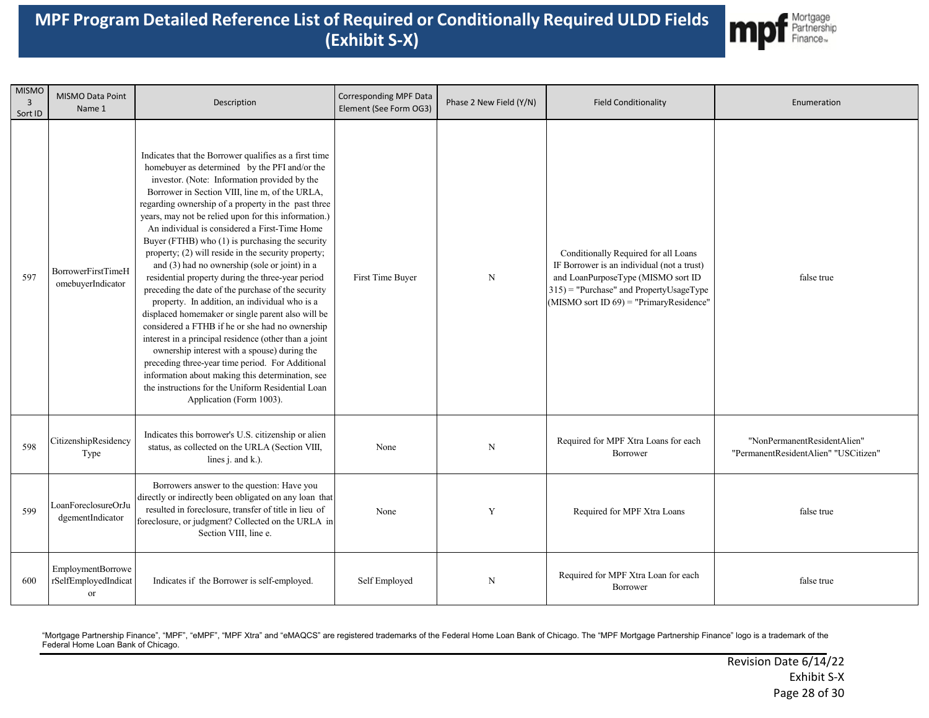

| <b>MISMO</b><br>$\overline{3}$<br>Sort ID | MISMO Data Point<br>Name 1                      | Description                                                                                                                                                                                                                                                                                                                                                                                                                                                                                                                                                                                                                                                                                                                                                                                                                                                                                                                                                                                                                                                                                               | <b>Corresponding MPF Data</b><br>Element (See Form OG3) | Phase 2 New Field (Y/N) | <b>Field Conditionality</b>                                                                                                                                                                                        | Enumeration                                                         |
|-------------------------------------------|-------------------------------------------------|-----------------------------------------------------------------------------------------------------------------------------------------------------------------------------------------------------------------------------------------------------------------------------------------------------------------------------------------------------------------------------------------------------------------------------------------------------------------------------------------------------------------------------------------------------------------------------------------------------------------------------------------------------------------------------------------------------------------------------------------------------------------------------------------------------------------------------------------------------------------------------------------------------------------------------------------------------------------------------------------------------------------------------------------------------------------------------------------------------------|---------------------------------------------------------|-------------------------|--------------------------------------------------------------------------------------------------------------------------------------------------------------------------------------------------------------------|---------------------------------------------------------------------|
| 597                                       | BorrowerFirstTimeH<br>omebuyerIndicator         | Indicates that the Borrower qualifies as a first time<br>homebuyer as determined by the PFI and/or the<br>investor. (Note: Information provided by the<br>Borrower in Section VIII, line m, of the URLA,<br>regarding ownership of a property in the past three<br>years, may not be relied upon for this information.)<br>An individual is considered a First-Time Home<br>Buyer (FTHB) who (1) is purchasing the security<br>property; (2) will reside in the security property;<br>and (3) had no ownership (sole or joint) in a<br>residential property during the three-year period<br>preceding the date of the purchase of the security<br>property. In addition, an individual who is a<br>displaced homemaker or single parent also will be<br>considered a FTHB if he or she had no ownership<br>interest in a principal residence (other than a joint<br>ownership interest with a spouse) during the<br>preceding three-year time period. For Additional<br>information about making this determination, see<br>the instructions for the Uniform Residential Loan<br>Application (Form 1003). | First Time Buyer                                        | $\mathbf N$             | Conditionally Required for all Loans<br>IF Borrower is an individual (not a trust)<br>and LoanPurposeType (MISMO sort ID<br>$315$ = "Purchase" and PropertyUsageType<br>(MISMO sort ID $69$ ) = "PrimaryResidence" | false true                                                          |
| 598                                       | CitizenshipResidency<br>Type                    | Indicates this borrower's U.S. citizenship or alien<br>status, as collected on the URLA (Section VIII,<br>lines $i$ . and $k$ .).                                                                                                                                                                                                                                                                                                                                                                                                                                                                                                                                                                                                                                                                                                                                                                                                                                                                                                                                                                         | None                                                    | $_{\rm N}$              | Required for MPF Xtra Loans for each<br>Borrower                                                                                                                                                                   | "NonPermanentResidentAlien"<br>"PermanentResidentAlien" "USCitizen" |
| 599                                       | LoanForeclosureOrJu<br>dgementIndicator         | Borrowers answer to the question: Have you<br>directly or indirectly been obligated on any loan that<br>resulted in foreclosure, transfer of title in lieu of<br>foreclosure, or judgment? Collected on the URLA in<br>Section VIII, line e.                                                                                                                                                                                                                                                                                                                                                                                                                                                                                                                                                                                                                                                                                                                                                                                                                                                              | None                                                    | Y                       | Required for MPF Xtra Loans                                                                                                                                                                                        | false true                                                          |
| 600                                       | EmploymentBorrowe<br>rSelfEmployedIndicat<br>or | Indicates if the Borrower is self-employed.                                                                                                                                                                                                                                                                                                                                                                                                                                                                                                                                                                                                                                                                                                                                                                                                                                                                                                                                                                                                                                                               | Self Employed                                           | N                       | Required for MPF Xtra Loan for each<br>Borrower                                                                                                                                                                    | false true                                                          |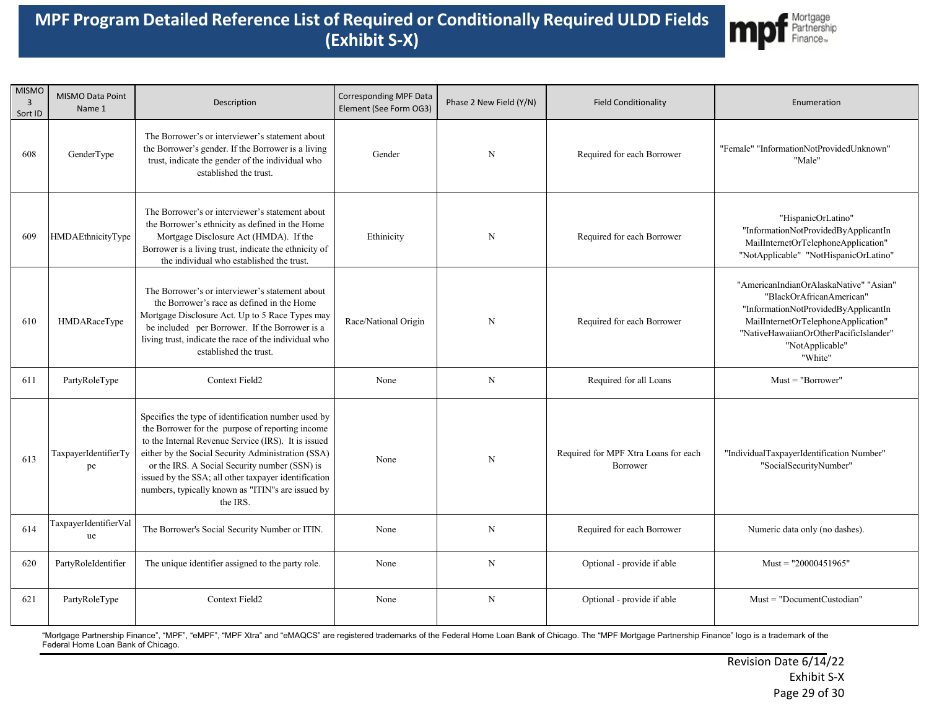

| <b>MISMO</b><br>3<br>Sort ID | MISMO Data Point<br>Name 1  | Description                                                                                                                                                                                                                                                                                                                                                                                    | <b>Corresponding MPF Data</b><br>Element (See Form OG3) | Phase 2 New Field (Y/N) | <b>Field Conditionality</b>                      | Enumeration                                                                                                                                                                                                               |
|------------------------------|-----------------------------|------------------------------------------------------------------------------------------------------------------------------------------------------------------------------------------------------------------------------------------------------------------------------------------------------------------------------------------------------------------------------------------------|---------------------------------------------------------|-------------------------|--------------------------------------------------|---------------------------------------------------------------------------------------------------------------------------------------------------------------------------------------------------------------------------|
| 608                          | GenderType                  | The Borrower's or interviewer's statement about<br>the Borrower's gender. If the Borrower is a living<br>trust, indicate the gender of the individual who<br>established the trust.                                                                                                                                                                                                            | Gender                                                  | N                       | Required for each Borrower                       | "Female" "InformationNotProvidedUnknown"<br>"Male"                                                                                                                                                                        |
| 609                          | HMDAEthnicityType           | The Borrower's or interviewer's statement about<br>the Borrower's ethnicity as defined in the Home<br>Mortgage Disclosure Act (HMDA). If the<br>Borrower is a living trust, indicate the ethnicity of<br>the individual who established the trust.                                                                                                                                             | Ethinicity                                              | N                       | Required for each Borrower                       | "HispanicOrLatino"<br>"InformationNotProvidedByApplicantIn<br>MailInternetOrTelephoneApplication"<br>"NotApplicable" "NotHispanicOrLatino"                                                                                |
| 610                          | HMDARaceType                | The Borrower's or interviewer's statement about<br>the Borrower's race as defined in the Home<br>Mortgage Disclosure Act. Up to 5 Race Types may<br>be included per Borrower. If the Borrower is a<br>living trust, indicate the race of the individual who<br>established the trust.                                                                                                          | Race/National Origin                                    | N                       | Required for each Borrower                       | "AmericanIndianOrAlaskaNative" "Asian"<br>"BlackOrAfricanAmerican"<br>"InformationNotProvidedByApplicantIn<br>MailInternetOrTelephoneApplication"<br>"NativeHawaiianOrOtherPacificIslander"<br>"NotApplicable"<br>"White" |
| 611                          | PartyRoleType               | Context Field2                                                                                                                                                                                                                                                                                                                                                                                 | None                                                    | N                       | Required for all Loans                           | $Must = "Borrower"$                                                                                                                                                                                                       |
| 613                          | TaxpayerIdentifierTy<br>pe  | Specifies the type of identification number used by<br>the Borrower for the purpose of reporting income<br>to the Internal Revenue Service (IRS). It is issued<br>either by the Social Security Administration (SSA)<br>or the IRS. A Social Security number (SSN) is<br>issued by the SSA; all other taxpayer identification<br>numbers, typically known as "ITIN"s are issued by<br>the IRS. | None                                                    | N                       | Required for MPF Xtra Loans for each<br>Borrower | "IndividualTaxpayerIdentification Number"<br>"SocialSecurityNumber"                                                                                                                                                       |
| 614                          | TaxpayerIdentifierVal<br>ue | The Borrower's Social Security Number or ITIN.                                                                                                                                                                                                                                                                                                                                                 | None                                                    | $\mathbf N$             | Required for each Borrower                       | Numeric data only (no dashes).                                                                                                                                                                                            |
| 620                          | PartyRoleIdentifier         | The unique identifier assigned to the party role.                                                                                                                                                                                                                                                                                                                                              | None                                                    | $\mathbf N$             | Optional - provide if able                       | Must = $"20000451965"$                                                                                                                                                                                                    |
| 621                          | PartyRoleType               | Context Field2                                                                                                                                                                                                                                                                                                                                                                                 | None                                                    | $\mathbf N$             | Optional - provide if able                       | $Must = "DocumentCustodian"$                                                                                                                                                                                              |